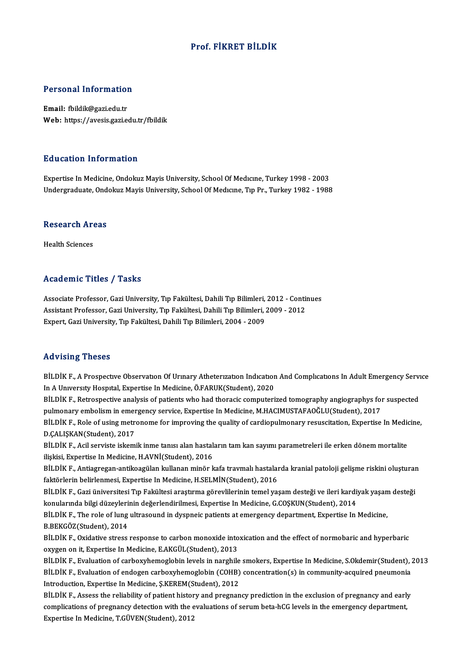#### Prof. FİKRET BİLDİK

# Personal Information

Personal Information<br>Email: fbildik@gazi.edu.tr<br>Web: https://avesis.gazi.e Email: fbildik@gazi.edu.tr<br>Web: https://avesis.gazi.edu.tr/fbildik

#### Education Information

Expertise InMedicine,OndokuzMayisUniversity,SchoolOfMedıcıne,Turkey1998 -2003 Undergraduate, Ondokuz Mayis University, School Of Medıcıne, Tıp Pr., Turkey 1982 - 1988

## ondergraduate, ond<br>Research Areas R<mark>esearch Ar</mark><br>Health Sciences

## Academic Titles / Tasks

Academic Titles / Tasks<br>Associate Professor, Gazi University, Tıp Fakültesi, Dahili Tıp Bilimleri, 2012 - Continues<br>Assistant Professor, Gazi University, Tıp Fakültesi, Dahili Tıp Bilimleri, 2000, 2012 Associate Professor, Gazi University, Tıp Fakültesi, Dahili Tıp Bilimleri, 2012 - Conti<br>Assistant Professor, Gazi University, Tıp Fakültesi, Dahili Tıp Bilimleri, 2009 - 2012<br>Expert, Cazi University, Tıp Fakültesi, Dahili Assistant Professor, Gazi University, Tıp Fakültesi, Dahili Tıp Bilimleri, 2009 - 2012<br>Expert, Gazi University, Tıp Fakültesi, Dahili Tıp Bilimleri, 2004 - 2009

#### Advising Theses

Advising Theses<br>BİLDİK F., A Prospective Observation Of Urinary Atheterization Indication And Complications In Adult Emergency Service<br>In A University Hespital Evpertise In Medisine, Ö EABUK(Student), 2020 INAV ISING THOSOS<br>BİLDİK F., A Prospective Observation Of Urinary Atheterization Indication<br>In A University Hospital, Expertise In Medicine, Ö.FARUK(Student), 2020<br>PİLDİK E. Betrespective analysis of patients urbe bad ther BİLDİK F., A Prospective Observation Of Urinary Atheterization Indication And Complications In Adult Emergency Servi<br>In A University Hospital, Expertise In Medicine, Ö.FARUK(Student), 2020<br>BİLDİK F., Retrospective analysis

In A University Hospital, Expertise In Medicine, Ö.FARUK(Student), 2020<br>BİLDİK F., Retrospective analysis of patients who had thoracic computerized tomography angiographys for<br>pulmonary embolism in emergency service, Exper BİLDİK F., Retrospective analysis of patients who had thoracic computerized tomography angiographys for suspected<br>pulmonary embolism in emergency service, Expertise In Medicine, M.HACIMUSTAFAOĞLU(Student), 2017<br>BİLDİK F., pulmonary embolism in emergency service, Expertise In Medicine, M.HACIMUSTAFAOĞLU(Student), 2017<br>BİLDİK F., Role of using metronome for improving the quality of cardiopulmonary resuscitation, Expertise<br>D.ÇALIŞKAN(Student),

BİLDİK F., Role of using metronome for improving the quality of cardiopulmonary resuscitation, Expertise In Medicine,<br>D.ÇALIŞKAN(Student), 2017<br>BİLDİK F., Acil serviste iskemik inme tanısı alan hastaların tam kan sayımı pa

BİLDİK F., Acil serviste iskemik inme tanısı alan hastaların tam kan sayımı parametreleri ile erken dönem mortalite BİLDİK F., Acil serviste iskemik inme tanısı alan hastaların tam kan sayımı parametreleri ile erken dönem mortalite<br>ilişkisi, Expertise In Medicine, H.AVNİ(Student), 2016<br>BİLDİK F., Antiagregan-antikoagülan kullanan minör

ilişkisi, Expertise In Medicine, H.AVNİ(Student), 2016<br>BİLDİK F., Antiagregan-antikoagülan kullanan minör kafa travmalı hastalaı<br>faktörlerin belirlenmesi, Expertise In Medicine, H.SELMİN(Student), 2016<br>PİLDİK E. Gazi ünive BİLDİK F., Antiagregan-antikoagülan kullanan minör kafa travmalı hastalarda kranial patoloji gelişme riskini oluşturar<br>faktörlerin belirlenmesi, Expertise In Medicine, H.SELMİN(Student), 2016<br>BİLDİK F., Gazi üniversitesi T

faktörlerin belirlenmesi, Expertise In Medicine, H.SELMİN(Student), 2016<br>BİLDİK F., Gazi üniversitesi Tıp Fakültesi araştırma görevlilerinin temel yaşam desteği ve ileri kardi<br>konularında bilgi düzeylerinin değerlendirilme BİLDİK F., Gazi üniversitesi Tıp Fakültesi araştırma görevlilerinin temel yaşam desteği ve ileri kardiyak yaşam desteği<br>konularında bilgi düzeylerinin değerlendirilmesi, Expertise In Medicine, G.COŞKUN(Student), 2014<br>BİLDİ

konularında bilgi düzeyleri<br>BİLDİK F., The role of lung<br>B.BEKGÖZ(Student), 2014<br>PİLDİK E. Ovidative stress BİLDİK F., The role of lung ultrasound in dyspneic patients at emergency department, Expertise In Medicine,<br>B.BEKGÖZ(Student), 2014<br>BİLDİK F., Oxidative stress response to carbon monoxide intoxication and the effect of nor

B.BEKGÖZ(Student), 2014<br>BİLDİK F., Oxidative stress response to carbon monoxide into<br>oxygen on it, Expertise In Medicine, E.AKGÜL(Student), 2013<br>PİLDİK F., Fyolustion of sarboyubomoslobin loyek in narshile BİLDİK F., Oxidative stress response to carbon monoxide intoxication and the effect of normobaric and hyperbaric<br>oxygen on it, Expertise In Medicine, E.AKGÜL(Student), 2013<br>BİLDİK F., Evaluation of carboxyhemoglobin levels

oxygen on it, Expertise In Medicine, E.AKGÜL(Student), 2013<br>BİLDİK F., Evaluation of carboxyhemoglobin levels in narghile smokers, Expertise In Medicine, S.Okdemir(Student), ;<br>BİLDİK F., Evaluation of endogen carboxyhemogl BİLDİK F., Evaluation of carboxyhemoglobin levels in narghile<br>BİLDİK F., Evaluation of endogen carboxyhemoglobin (COHB)<br>Introduction, Expertise In Medicine, Ş.KEREM(Student), 2012<br>PİLDİK F. Assass the reliability of patien BİLDİK F., Evaluation of endogen carboxyhemoglobin (COHB) concentration(s) in community-acquired pneumonia<br>Introduction, Expertise In Medicine, Ş.KEREM(Student), 2012<br>BİLDİK F., Assess the reliability of patient history an

Introduction, Expertise In Medicine, Ş.KEREM(Student), 2012<br>BİLDİK F., Assess the reliability of patient history and pregnancy prediction in the exclusion of pregnancy and early<br>complications of pregnancy detection with th BİLDİK F., Assess the reliability of patient histor<br>complications of pregnancy detection with the e<br>Expertise In Medicine, T.GÜVEN(Student), 2012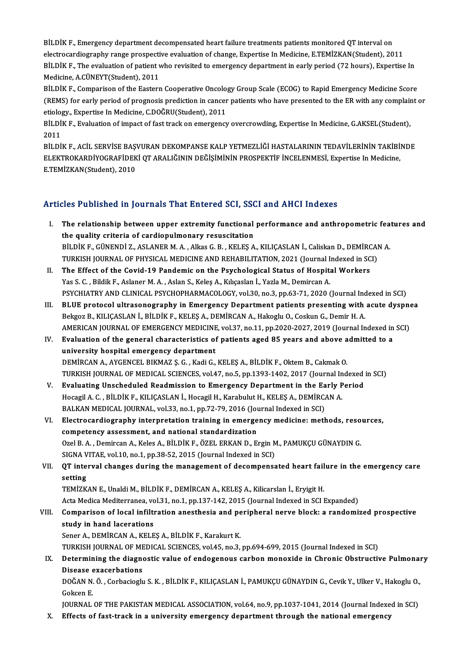BİLDİK F., Emergency department decompensated heart failure treatments patients monitored QT interval on<br>electrocardiography range prognective evoluation of change. Evoertice In Medicine, E.TEMİZMA(Student), 20 ell DİK F., Emergency department decompensated heart failure treatments patients monitored QT interval on<br>electrocardiography range prospective evaluation of change, Expertise In Medicine, E.TEMİZKAN(Student), 2011<br>Pil DİK BİLDİK F., Emergency department decompensated heart failure treatments patients monitored QT interval on<br>electrocardiography range prospective evaluation of change, Expertise In Medicine, E.TEMİZKAN(Student), 2011<br>BİLDİK F electrocardiography range prospective evaluation of change, Expertise In Medicine, E.TEMİZKAN(Student), 2011<br>BİLDİK F., The evaluation of patient who revisited to emergency department in early period (72 hours), Expertise BİLDİK F., The evaluation of patient who revisited to emergency department in early period (72 hours), Expertise In<br>Medicine, A.CÜNEYT(Student), 2011<br>BİLDİK F., Comparison of the Eastern Cooperative Oncology Group Scale (E

Medicine, A.CÜNEYT(Student), 2011<br>BİLDİK F., Comparison of the Eastern Cooperative Oncology Group Scale (ECOG) to Rapid Emergency Medicine Score<br>(REMS) for early period of prognosis prediction in cancer patients who have p BİLDİK F., Comparison of the Eastern Cooperative Oncology.<br>(REMS) for early period of prognosis prediction in cancer<br>etiology., Expertise In Medicine, C.DOĞRU(Student), 2011<br>PU DiK F., Evoluation of impact of fost track on (REMS) for early period of prognosis prediction in cancer patients who have presented to the ER with any complain<br>etiology., Expertise In Medicine, C.DOĞRU(Student), 2011<br>BİLDİK F., Evaluation of impact of fast track on em

etiology., Expertise In Medicine, C.DOĞRU(Student), 2011<br>BİLDİK F., Evaluation of impact of fast track on emergency overcrowding, Expertise In Medicine, G.AKSEL(Student),<br>2011

BİLDİK F., ACİL SERVİSE BAŞVURAN DEKOMPANSE KALP YETMEZLİĞİ HASTALARININ TEDAVİLERİNIN TAKİBİNDE 2011<br>BİLDİK F., ACİL SERVİSE BAŞVURAN DEKOMPANSE KALP YETMEZLİĞİ HASTALARININ TEDAVİLERİNİN TAKİBİ!<br>ELEKTROKARDİYOGRAFİDEKİ QT ARALIĞININ DEĞİŞİMİNİN PROSPEKTİF İNCELENMESİ, Expertise In Medicine,<br>E TEMİZKAN(Studort), 2010 BİLDİK F., ACİL SERVİSE BAŞ<br>ELEKTROKARDİYOGRAFİDEK<br>E.TEMİZKAN(Student), 2010 Articles Published in Journals That Entered SCI, SSCI and AHCI Indexes

- rticles Published in Journals That Entered SCI, SSCI and AHCI Indexes<br>I. The relationship between upper extremity functional performance and anthropometric features and<br>the quality gritoria of candianulmonery requesitation the quality criteria of cardiopulmonary resuscitation The relationship between upper extremity functional performance and anthropometric fea<br>the quality criteria of cardiopulmonary resuscitation<br>BİLDİK F., GÜNENDİ Z., ASLANER M. A. , Alkas G. B. , KELEŞ A., KILIÇASLAN İ., Cal the quality criteria of cardiopulmonary resuscitation<br>BİLDİK F., GÜNENDİ Z., ASLANER M. A. , Alkas G. B. , KELEŞ A., KILIÇASLAN İ., Caliskan D., DEMİRCAI<br>TURKISH JOURNAL OF PHYSICAL MEDICINE AND REHABILITATION, 2021 (Journ
- II. The Effect of the Covid-19 Pandemic on the Psychological Status of Hospital Workers<br>Yas S. C., Bildik F., Aslaner M. A., Aslan S., Keles A., Kılıçaslan İ., Yazla M., Demircan A. TURKISH JOURNAL OF PHYSICAL MEDICINE AND REHABILITATION, 2021 (Journal I.<br>The Effect of the Covid-19 Pandemic on the Psychological Status of Hospit:<br>Yas S. C. , Bildik F., Aslaner M. A. , Aslan S., Keleş A., Kılıçaslan İ., PSYCHIATRY AND CLINICAL PSYCHOPHARMACOLOGY, vol.30, no.3, pp.63-71, 2020 (Journal Indexed in SCI) Yas S. C. , Bildik F., Aslaner M. A. , Aslan S., Keleş A., Kılıçaslan İ., Yazla M., Demircan A.<br>PSYCHIATRY AND CLINICAL PSYCHOPHARMACOLOGY, vol.30, no.3, pp.63-71, 2020 (Journal Indexed in SCI)<br>III. BLUE protocol ultrasono
- PSYCHIATRY AND CLINICAL PSYCHOPHARMACOLOGY, vol.30, no.3, pp.63-71, 2020 (Journal Ince Display of Display of B<br>BLUE protocol ultrasonography in Emergency Department patients presenting with<br>Bekgoz B., KILIÇASLAN İ., BİLDİK BLUE protocol ultrasonography in Emergency Department patients presenting with acute dyspne<br>Bekgoz B., KILIÇASLAN İ., BİLDİK F., KELEŞ A., DEMİRCAN A., Hakoglu O., Coskun G., Demir H. A.<br>AMERICAN JOURNAL OF EMERGENCY MEDIC Bekgoz B., KILIÇASLAN İ., BİLDİK F., KELEŞ A., DEMİRCAN A., Hakoglu O., Coskun G., Demir H. A.<br>AMERICAN JOURNAL OF EMERGENCY MEDICINE, vol.37, no.11, pp.2020-2027, 2019 (Journal Indexed in<br>IV. Evaluation of the general cha
- AMERICAN JOURNAL OF EMERGENCY MEDICINE, vol.37, no.11, pp.2020-2027, 2019 (Journal Indexed in SCI)<br>Evaluation of the general characteristics of patients aged 85 years and above admitted to a<br>university hospital emergency d Evaluation of the general characteristics of patients aged 85 years and above a<br>university hospital emergency department<br>DEMİRCAN A., AYGENCEL BIKMAZ Ş. G. , Kadi G., KELEŞ A., BİLDİK F., Oktem B., Cakmak O.<br>TURKISH JOURNA university hospital emergency department<br>DEMİRCAN A., AYGENCEL BIKMAZ Ş. G. , Kadi G., KELEŞ A., BİLDİK F., Oktem B., Cakmak O.<br>TURKISH JOURNAL OF MEDICAL SCIENCES, vol.47, no.5, pp.1393-1402, 2017 (Journal Indexed in SCI) DEMIRCAN A., AYGENCEL BIKMAZ Ş. G. , Kadi G., KELEŞ A., BİLDİK F., Oktem B., Cakmak O.<br>TURKISH JOURNAL OF MEDICAL SCIENCES, vol.47, no.5, pp.1393-1402, 2017 (Journal Indexed<br>V. Evaluating Unscheduled Readmission to Emergen
- TURKISH JOURNAL OF MEDICAL SCIENCES, vol.47, no.5, pp.1393-1402, 2017 (Journal In<br>Evaluating Unscheduled Readmission to Emergency Department in the Early P<br>Hocagil A. C. , BİLDİK F., KILIÇASLAN İ., Hocagil H., Karabulut H. V. Evaluating Unscheduled Readmission to Emergency Department in the Early Period<br>Hocagil A. C. , BİLDİK F., KILIÇASLAN İ., Hocagil H., Karabulut H., KELEŞ A., DEMİRCAN A.<br>BALKAN MEDICAL JOURNAL, vol.33, no.1, pp.72-79, 20
- VI. Electrocardiography interpretation training in emergencymedicine:methods, resources, BALKAN MEDICAL JOURNAL, vol.33, no.1, pp.72-79, 2016 (Journal Standardization<br>Electrocardiography interpretation training in emerge<br>competency assessment, and national standardization<br>Oral B.A., Demirson A. Keles A. Bit Di Ozel B. A., Demircan A., Keles A., BİLDİK F., ÖZEL ERKAN D., Ergin M., PAMUKÇU GÜNAYDIN G. competency assessment, and national standardization<br>Ozel B. A. , Demircan A., Keles A., BİLDİK F., ÖZEL ERKAN D., Ergin M<br>SIGNA VITAE, vol.10, no.1, pp.38-52, 2015 (Journal Indexed in SCI)<br>OT interval shanges during the ma Ozel B. A. , Demircan A., Keles A., BİLDİK F., ÖZEL ERKAN D., Ergin M., PAMUKÇU GÜNAYDIN G.<br>SIGNA VITAE, vol.10, no.1, pp.38-52, 2015 (Journal Indexed in SCI)<br>VII. QT interval changes during the management of decompensated
- SIGNA VITAE, vol.10, no.1, pp.38-52, 2015 (Journal Indexed in SCI)<br>QT interval changes during the management of decompensated heart fail<br>setting<br>TEMİZKAN E., Unaldi M., BİLDİK F., DEMİRCAN A., KELEŞ A., Kilicarslan İ., Ery QT interval changes during the management of decompensated heart fail<br>setting<br>TEMİZKAN E., Unaldi M., BİLDİK F., DEMİRCAN A., KELEŞ A., Kilicarslan İ., Eryigit H.<br>Acta Medica Meditarranea vel 31 na 1 nn 137 142 2015 (Jayrn

Acta Medica Mediterranea, vol.31, no.1, pp.137-142, 2015 (Journal Indexed in SCI Expanded)

- TEMİZKAN E., Unaldi M., BİLDİK F., DEMİRCAN A., KELEŞ A., Kilicarslan İ., Eryigit H.<br>Acta Medica Mediterranea, vol.31, no.1, pp.137-142, 2015 (Journal Indexed in SCI Expanded)<br>VIII. Comparison of local infiltration ane Acta Medica Mediterranea, vo<br>Comparison of local infilt<br>study in hand lacerations<br>Sanar A. DEMIRCAN A. KELE Comparison of local infiltration anesthesia and pe<br>study in hand lacerations<br>Sener A., DEMİRCAN A., KELEŞ A., BİLDİK F., Karakurt K.<br>TURKISH JOURNAL OF MEDICAL SCIENCES vol.45, no.2.
- study in hand lacerations<br>Sener A., DEMİRCAN A., KELEŞ A., BİLDİK F., Karakurt K.<br>TURKISH JOURNAL OF MEDICAL SCIENCES, vol.45, no.3, pp.694-699, 2015 (Journal Indexed in SCI)<br>Determining the diagnestis value of endegeneus Sener A., DEMİRCAN A., KELEŞ A., BİLDİK F., Karakurt K.<br>TURKISH JOURNAL OF MEDICAL SCIENCES, vol.45, no.3, pp.694-699, 2015 (Journal Indexed in SCI)<br>IX. Determining the diagnostic value of endogenous carbon monoxide in

## TURKISH JOURNAL OF ME<br>Determining the diagne<br>Disease exacerbations Determining the diagnostic value of endogenous carbon monoxide in Chronic Obstructive Pulmonal<br>Disease exacerbations<br>DOĞAN N. Ö. , Corbacioglu S. K. , BİLDİK F., KILIÇASLAN İ., PAMUKÇU GÜNAYDIN G., Cevik Y., Ulker V., Hako

Disease<br>DOĞAN N.<br>Gokcen E.<br>JOUPNAL DOĞAN N. Ö. , Corbacioglu S. K. , BİLDİK F., KILIÇASLAN İ., PAMUKÇU GÜNAYDIN G., Cevik Y., Ulker V., Hakoglu O.,<br>Gokcen E.<br>JOURNAL OF THE PAKISTAN MEDICAL ASSOCIATION, vol.64, no.9, pp.1037-1041, 2014 (Journal Indexed in S

Gokcen E.<br>JOURNAL OF THE PAKISTAN MEDICAL ASSOCIATION, vol.64, no.9, pp.1037-1041, 2014 (Journal Indexed in SCI)<br>X. Effects of fast-track in a university emergency department through the national emergency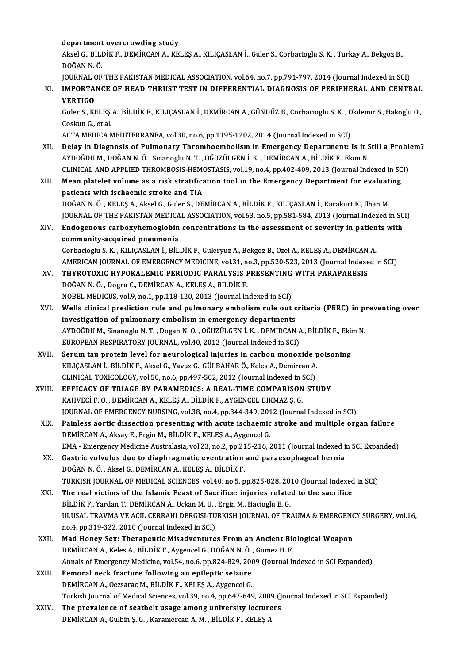#### department overcrowding study

department overcrowding study<br>Aksel G., BİLDİK F., DEMİRCAN A., KELEŞ A., KILIÇASLAN İ., Guler S., Corbacioglu S. K. , Turkay A., Bekgoz B.,<br>DOĞAN N.Ö. <mark>department</mark><br>Aksel G., BİLI<br>DOĞAN N. Ö.<br>JOUPNAL OF Aksel G., BİLDİK F., DEMİRCAN A., KELEŞ A., KILIÇASLAN İ., Guler S., Corbacioglu S. K. , Turkay A., Bekgoz B.,<br>DOĞAN N. Ö.<br>JOURNAL OF THE PAKISTAN MEDICAL ASSOCIATION, vol.64, no.7, pp.791-797, 2014 (Journal Indexed in SCI

JOURNAL OF THE PAKISTAN MEDICAL ASSOCIATION, vol.64, no.7, pp.791-797, 2014 (Journal Indexed in SCI)

DOĞAN N. Ö.<br>JOURNAL OF THE PAKISTAN MEDICAL ASSOCIATION, vol.64, no.7, pp.791-797, 2014 (Journal Indexed in SCI)<br>XI. IMPORTANCE OF HEAD THRUST TEST IN DIFFERENTIAL DIAGNOSIS OF PERIPHERAL AND CENTRAL<br>VERTIGO IMPORTANCE OF HEAD THRUST TEST IN DIFFERENTIAL DIAGNOSIS OF PERIPHERAL AND CENTRAL<br>VERTIGO<br>Guler S., KELEŞ A., BİLDİK F., KILIÇASLAN İ., DEMİRCAN A., GÜNDÜZ B., Corbacioglu S. K. , Okdemir S., Hakoglu O.,<br>Coskun C. et al

**VERTIGO<br>Guler S., KELES<br>Coskun G., et al.<br>ACTA MEDICA N** Guler S., KELEŞ A., BİLDİK F., KILIÇASLAN İ., DEMİRCAN A., GÜNDÜZ B., Corbacioglu S. K. , O<br>Coskun G., et al.<br>ACTA MEDICA MEDITERRANEA, vol.30, no.6, pp.1195-1202, 2014 (Journal Indexed in SCI)<br>Delay in Diagnosis of Bulman

- Coskun G., et al.<br>ACTA MEDICA MEDITERRANEA, vol.30, no.6, pp.1195-1202, 2014 (Journal Indexed in SCI)<br>XII. Delay in Diagnosis of Pulmonary Thromboembolism in Emergency Department: Is it Still a Problem?<br>AVDOČDU M. DOČA ACTA MEDICA MEDITERRANEA, vol.30, no.6, pp.1195-1202, 2014 (Journal Indexed in SCI)<br>Delay in Diagnosis of Pulmonary Thromboembolism in Emergency Department: Is it S<br>AYDOĞDU M., DOĞAN N. Ö. , Sinanoglu N. T. , OĞUZÜLGEN İ. Delay in Diagnosis of Pulmonary Thromboembolism in Emergency Department: Is it Still a Proble<br>AYDOĞDU M., DOĞAN N. Ö. , Sinanoglu N. T. , OĞUZÜLGEN İ. K. , DEMİRCAN A., BİLDİK F., Ekim N.<br>CLINICAL AND APPLIED THROMBOSIS-HE AYDOĞDU M., DOĞAN N. Ö. , Sinanoglu N. T. , OĞUZÜLGEN İ. K. , DEMİRCAN A., BİLDİK F., Ekim N.<br>CLINICAL AND APPLIED THROMBOSIS-HEMOSTASIS, vol.19, no.4, pp.402-409, 2013 (Journal Indexed in SC<br>XIII. Mean platelet volume as
- CLINICAL AND APPLIED THROMBOSIS-HEMO<br>Mean platelet volume as a risk stratificant patients with ischaemic stroke and TIA Mean platelet volume as a risk stratification tool in the Emergency Department for evaluat<br>patients with ischaemic stroke and TIA<br>DOĞAN N.Ö., KELEŞ A., Aksel G., Guler S., DEMİRCAN A., BİLDİK F., KILIÇASLAN İ., Karakurt K. patients with ischaemic stroke and TIA<br>DOĞAN N. Ö. , KELEŞ A., Aksel G., Guler S., DEMİRCAN A., BİLDİK F., KILIÇASLAN İ., Karakurt K., Ilhan M.<br>JOURNAL OF THE PAKISTAN MEDICAL ASSOCIATION, vol.63, no.5, pp.581-584, 2013 (J
- DOĞAN N. Ö. , KELEŞ A., Aksel G., Guler S., DEMİRCAN A., BİLDİK F., KILIÇASLAN İ., Karakurt K., Ilhan M.<br>JOURNAL OF THE PAKISTAN MEDICAL ASSOCIATION, vol.63, no.5, pp.581-584, 2013 (Journal Indexed in SC<br>XIV. Endogenous ca
- JOURNAL OF THE PAKISTAN MEDICAL ASSOCIATION, vol.63, no.5, pp.581-584, 2013 (Journal Indexed in SCI)<br>Endogenous carboxyhemoglobin concentrations in the assessment of severity in patients with<br>community-acquired pneumonia Endogenous carboxyhemoglobin concentrations in the assessment of severity in patien<br>community-acquired pneumonia<br>Corbacioglu S.K., KILIÇASLAN İ., BİLDİK F., Guleryuz A., Bekgoz B., Ozel A., KELEŞ A., DEMİRCAN A.<br>AMERICAN J community-acquired pneumonia<br>Corbacioglu S. K. , KILIÇASLAN İ., BİLDİK F., Guleryuz A., Bekgoz B., Ozel A., KELEŞ A., DEMİRCAN A.<br>AMERICAN JOURNAL OF EMERGENCY MEDICINE, vol.31, no.3, pp.520-523, 2013 (Journal Indexed in S
- Corbacioglu S. K. , KILIÇASLAN İ., BİLDİK F., Guleryuz A., Bekgoz B., Ozel A., KELEŞ A., DEMİRCAN<br>AMERICAN JOURNAL OF EMERGENCY MEDICINE, vol.31, no.3, pp.520-523, 2013 (Journal Indexe<br>XV. THYROTOXIC HYPOKALEMIC PERIOD AMERICAN JOURNAL OF EMERGENCY MEDICINE, vol.31, n<br>THYROTOXIC HYPOKALEMIC PERIODIC PARALYSIS I<br>DOĞAN N. Ö. , Dogru C., DEMİRCAN A., KELEŞ A., BİLDİK F.<br>NOREL MEDICUS vol.9 no.1 nn.118.120.2013 (Journal In THYROTOXIC HYPOKALEMIC PERIODIC PARALYSIS PRESENTING WITH PARAPARESIS<br>DOĞAN N.Ö., Dogru C., DEMİRCAN A., KELEŞ A., BİLDİK F.<br>NOBEL MEDICUS, vol.9, no.1, pp.118-120, 2013 (Journal Indexed in SCI)

- DOĞAN N. Ö. , Dogru C., DEMİRCAN A., KELEŞ A., BİLDİK F.<br>NOBEL MEDICUS, vol.9, no.1, pp.118-120, 2013 (Journal Indexed in SCI)<br>XVI. Wells clinical prediction rule and pulmonary embolism rule out criteria (PERC) in prev NOBEL MEDICUS, vol.9, no.1, pp.118-120, 2013 (Journal Indexed in SCI)<br>Wells clinical prediction rule and pulmonary embolism rule out c<br>investigation of pulmonary embolism in emergency departments<br>AYDOČDUM, Sinaposlu N.T., Wells clinical prediction rule and pulmonary embolism rule out criteria (PERC) in pi<br>investigation of pulmonary embolism in emergency departments<br>AYDOĞDU M., Sinanoglu N. T. , Dogan N. O. , OĞUZÜLGEN İ. K. , DEMİRCAN A., B investigation of pulmonary embolism in emergency departments<br>AYDOĞDU M., Sinanoglu N. T. , Dogan N. O. , OĞUZÜLGEN İ. K. , DEMİRCAN A<br>EUROPEAN RESPIRATORY JOURNAL, vol.40, 2012 (Journal Indexed in SCI)<br>Serum tau pretein le AYDOĞDU M., Sinanoglu N. T. , Dogan N. O. , OĞUZÜLGEN İ. K. , DEMİRCAN A., BİLDİK F., Ekir<br>EUROPEAN RESPIRATORY JOURNAL, vol.40, 2012 (Journal Indexed in SCI)<br>XVII. Serum tau protein level for neurological injuries in carb
- EUROPEAN RESPIRATORY JOURNAL, vol.40, 2012 (Journal Indexed in SCI)<br>Serum tau protein level for neurological injuries in carbon monoxide p<br>KILIÇASLAN İ., BİLDİK F., Aksel G., Yavuz G., GÜLBAHAR Ö., Keles A., Demircan A.<br>CU Serum tau protein level for neurological injuries in carbon monoxide <sub>I</sub><br>KILIÇASLAN İ., BİLDİK F., Aksel G., Yavuz G., GÜLBAHAR Ö., Keles A., Demircan A.<br>CLINICAL TOXICOLOGY, vol.50, no.6, pp.497-502, 2012 (Journal Indexed KILIÇASLAN İ., BİLDİK F., Aksel G., Yavuz G., GÜLBAHAR Ö., Keles A., Demircan A.<br>CLINICAL TOXICOLOGY, vol.50, no.6, pp.497-502, 2012 (Journal Indexed in SCI)<br>XVIII. EFFICACY OF TRIAGE BY PARAMEDICS: A REAL-TIME COMPARISON
- CLINICAL TOXICOLOGY, vol.50, no.6, pp.497-502, 2012 (Journal Indexed in SCI)<br>EFFICACY OF TRIAGE BY PARAMEDICS: A REAL-TIME COMPARISON STUDY<br>KAHVECİ F. O. , DEMİRCAN A., KELEŞ A., BİLDİK F., AYGENCEL BIKMAZ Ş. G. JOURNAL OF EMERGENCY NURSING, vol.38, no.4, pp.344-349, 2012 (Journal Indexed in SCI) KAHVECİ F. O. , DEMİRCAN A., KELEŞ A., BİLDİK F., AYGENCEL BIKMAZ Ş. G.<br>JOURNAL OF EMERGENCY NURSING, vol.38, no.4, pp.344-349, 2012 (Journal Indexed in SCI)<br>XIX. Painless aortic dissection presenting with acute ischaemic
- DEMİRCAN A., Aksay E., Ergin M., BİLDİK F., KELEŞ A., Aygencel G.<br>EMA Emergency Medicine Australasia, vol.23, no.2, pp.215-216, 2011 (Journal Indexed in SCI Expanded) Painless aortic dissection presenting with acute ischaemic stroke and multiple organ failure<br>DEMİRCAN A., Aksay E., Ergin M., BİLDİK F., KELEŞ A., Aygencel G.<br>EMA - Emergency Medicine Australasia, vol.23, no.2, pp.215-216,
- XX. Gastric volvulus due to diaphragmatic eventration and paraesophageal hernia DOĞAN N.Ö., Aksel G., DEMİRCAN A., KELEŞ A., BİLDİK F. Gastric volvulus due to diaphragmatic eventration and paraesophageal hernia<br>DOĞAN N. Ö. , Aksel G., DEMİRCAN A., KELEŞ A., BİLDİK F.<br>TURKISH JOURNAL OF MEDICAL SCIENCES, vol.40, no.5, pp.825-828, 2010 (Journal Indexed in S DOĞAN N. Ö. , Aksel G., DEMİRCAN A., KELEŞ A., BİLDİK F.<br>TURKISH JOURNAL OF MEDICAL SCIENCES, vol.40, no.5, pp.825-828, 2010 (Journal Indexed<br>XXI. The real victims of the Islamic Feast of Sacrifice: injuries related to
- TURKISH JOURNAL OF MEDICAL SCIENCES, vol.40, no.5, pp.825-828, 20<br>The real victims of the Islamic Feast of Sacrifice: injuries relate<br>BİLDİK F., Yardan T., DEMİRCAN A., Uckan M. U. , Ergin M., Hacioglu E. G.<br>ULUSAL TRAVMA The real victims of the Islamic Feast of Sacrifice: injuries related to the sacrifice<br>BİLDİK F., Yardan T., DEMİRCAN A., Uckan M. U. , Ergin M., Hacioglu E. G.<br>ULUSAL TRAVMA VE ACIL CERRAHI DERGISI-TURKISH JOURNAL OF TRAUM BİLDİK F., Yardan T., DEMİRCAN A., Uckan M. U. ,<br>ULUSAL TRAVMA VE ACIL CERRAHI DERGISI-TU<br>no.4, pp.319-322, 2010 (Journal Indexed in SCI)<br>Med Honey Sev: Theraneutic Misedventure ULUSAL TRAVMA VE ACIL CERRAHI DERGISI-TURKISH JOURNAL OF TRAUMA & EMERGENO<br>no.4, pp.319-322, 2010 (Journal Indexed in SCI)<br>XXII. Mad Honey Sex: Therapeutic Misadventures From an Ancient Biological Weapon
- no.4, pp.319-322, 2010 (Journal Indexed in SCI)<br>Mad Honey Sex: Therapeutic Misadventures From an Ancient Biological Weapon<br>DEMİRCAN A., Keles A., BİLDİK F., Avgencel G., DOĞAN N. Ö. , Gomez H. F. Annals of Emergency Medicine, vol.54, no.6, pp.824-829, 2009 (Journal Indexed in SCI Expanded) DEMIRCAN A., Keles A., BİLDİK F., Aygencel G., DOĞAN N. Ö.<br>Annals of Emergency Medicine, vol.54, no.6, pp.824-829, 200<br>XXIII. Femoral neck fracture following an epileptic seizure
- Annals of Emergency Medicine, vol.54, no.6, pp.824-829, 200<br>Femoral neck fracture following an epileptic seizure<br>DEMİRCAN A., Oezsarac M., BİLDİK F., KELEŞ A., Aygencel G.<br>Turkish Journal of Mediael Ssienses, vol.29, no.4, DEMİRCAN A., Oezsarac M., BİLDİK F., KELEŞ A., Aygencel G.<br>Turkish Journal of Medical Sciences, vol.39, no.4, pp.647-649, 2009 (Journal Indexed in SCI Expanded) DEMIRCAN A., Oezsarac M., BILDIK F., KELEŞ A., Aygencel G.<br>Turkish Journal of Medical Sciences, vol.39, no.4, pp.647-649, 2009 (J<br>XXIV. The prevalence of seatbelt usage among university lecturers<br>DEMIRCAN A. Cultip S. G.,
- Turkish Journal of Medical Sciences, vol.39, no.4, pp.647-649, 2009<br><mark>The prevalence of seatbelt usage among university lecture</mark><br>DEMİRCAN A., Gulbin Ş. G. , Karamercan A. M. , BİLDİK F., KELEŞ A.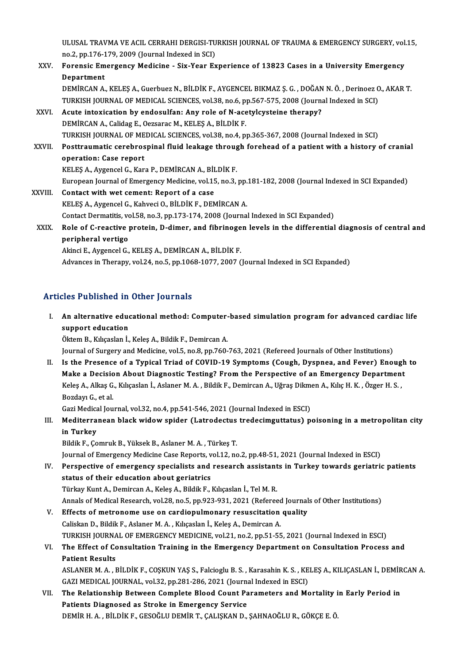ULUSAL TRAVMA VE ACIL CERRAHI DERGISI-TURKISH JOURNAL OF TRAUMA & EMERGENCY SURGERY, vol.15,<br>ne 3, np.176,179, 2009 (Journal Indoved in SCI) ULUSAL TRAVMA VE ACIL CERRAHI DERGISI-TU<br>no.2, pp.176-179, 2009 (Journal Indexed in SCI)<br>Forencis Emergency Medisine - Siy Year En no 2, pp 176-179, 2009 (Journal Indexed in SCI)

- XXV. Forensic Emergency Medicine Six-Year Experience of 13823 Cases in a University Emergency<br>Department Forensic Emergency Medicine - Six-Year Experience of 13823 Cases in a University Emergency<br>Department<br>DEMİRCAN A., KELEŞ A., Guerbuez N., BİLDİK F., AYGENCEL BIKMAZ Ş. G. , DOĞAN N. Ö. , Derinoez O., AKAR T.<br>TURKISH JOURNA Department<br>DEMİRCAN A., KELEŞ A., Guerbuez N., BİLDİK F., AYGENCEL BIKMAZ Ş. G. , DOĞAN N. Ö. , Derinoez C<br>TURKISH JOURNAL OF MEDICAL SCIENCES, vol.38, no.6, pp.567-575, 2008 (Journal Indexed in SCI)<br>Asute intexisation by DEMIRCAN A., KELEŞ A., Guerbuez N., BİLDİK F., AYGENCEL BIKMAZ Ş. G., DOĞAN<br>TURKISH JOURNAL OF MEDICAL SCIENCES, vol.38, no.6, pp.567-575, 2008 (Journa<br>XXVI. Acute intoxication by endosulfan: Any role of N-acetylcysteine t
- TURKISH JOURNAL OF MEDICAL SCIENCES, vol.38, no.6, p<br>Acute intoxication by endosulfan: Any role of N-ace<br>DEMİRCAN A., Calidag E., Oezsarac M., KELEŞ A., BİLDİK F.<br>TURKISH JOURNAL OF MEDICAL SCIENCES, vol.39, no.4, n DEMİRCAN A., Calidag E., Oezsarac M., KELEŞ A., BİLDİK F.<br>TURKISH JOURNAL OF MEDICAL SCIENCES, vol.38, no.4, pp.365-367, 2008 (Journal Indexed in SCI) DEMIRCAN A., Calidag E., Oezsarac M., KELEŞ A., BİLDİK F.<br>TURKISH JOURNAL OF MEDICAL SCIENCES, vol.38, no.4, pp.365-367, 2008 (Journal Indexed in SCI)<br>XXVII. Posttraumatic cerebrospinal fluid leakage through forehead o TURKISH JOURNAL OF ME<br>Posttraumatic cerebros<br>operation: Case report<br>KELES A Avgensel C Ken Posttraumatic cerebrospinal fluid leakage throug<br>operation: Case report<br>KELEŞ A., Aygencel G., Kara P., DEMİRCAN A., BİLDİK F.<br>Furanean Journal of Emergengy Medicine, vel 15, ne 3.

operation: Case report<br>KELEŞ A., Aygencel G., Kara P., DEMİRCAN A., BİLDİK F.<br>European Journal of Emergency Medicine, vol.15, no.3, pp.181-182, 2008 (Journal Indexed in SCI Expanded)

- XXVIII. Contact with wet cement: Report of a case KELEŞA.,AygencelG.,KahveciO.,BİLDİKF.,DEMİRCANA. Contact Dermatitis, vol.58, no.3, pp.173-174, 2008 (Journal Indexed in SCI Expanded) KELEŞ A., Aygencel G., Kahveci O., BİLDİK F., DEMİRCAN A.<br>Contact Dermatitis, vol.58, no.3, pp.173-174, 2008 (Journal Indexed in SCI Expanded)<br>XXIX. Role of C-reactive protein, D-dimer, and fibrinogen levels in the differe Contact Dermatitis, vo<br>Role of C-reactive<br>peripheral vertigo
- Role of C-reactive protein, D-dimer, and fibrinoge<br>peripheral vertigo<br>Akinci E., Aygencel G., KELEŞ A., DEMİRCAN A., BİLDİK F.<br>Advances in Thereny, vel 24, ne 5, nn 1969 1977, 2007 ( peripheral vertigo<br>Akinci E., Aygencel G., KELEŞ A., DEMİRCAN A., BİLDİK F.<br>Advances in Therapy, vol.24, no.5, pp.1068-1077, 2007 (Journal Indexed in SCI Expanded)

#### Articles Published in Other Journals

rticles Published in Other Journals<br>I. An alternative educational method: Computer-based simulation program for advanced cardiac life<br>sunnest education support education<br>An alternative education<br>Öltem B. Kılısaslan İ ÖktemB.,Kılıçaslanİ.,KeleşA.,BildikF.,DemircanA.

Journal of Surgery and Medicine, vol.5, no.8, pp.760-763, 2021 (Refereed Journals of Other Institutions)

II. Is the Presence of a Typical Triad of COVID-19 Symptoms (Cough, Dyspnea, and Fever) Enough to Journal of Surgery and Medicine, vol.5, no.8, pp.760-763, 2021 (Refereed Journals of Other Institutions)<br>Is the Presence of a Typical Triad of COVID-19 Symptoms (Cough, Dyspnea, and Fever) Enough<br>Make a Decision About Diag Is the Presence of a Typical Triad of COVID-19 Symptoms (Cough, Dyspnea, and Fever) Enoug<br>Make a Decision About Diagnostic Testing? From the Perspective of an Emergency Departmen<br>Keleş A., Alkaş G., Kılıçaslan İ., Aslaner Make a Decisio<br>Keleş A., Alkaş G.<br>Bozdayı G., et al.<br>Ceri Medicel Iou Keleş A., Alkaş G., Kılıçaslan İ., Aslaner M. A. , Bildik F., Demircan A., Uğraş Dikmen A., Kılıç H. K. , Özger H. S. ,<br>Bozdayı G., et al.

Bozdayı G., et al.<br>Gazi Medical Journal, vol.32, no.4, pp.541-546, 2021 (Journal Indexed in ESCI)<br>III. Mediterranean black widow spider (Latrodectus tredecimguttatus) poisoning in a metropolitan city<br>in Turkey Gazi Medical Journal, vol.32, no.4, pp.541-546, 2021 (Journal Indexed in ESCI)<br>Mediterranean black widow spider (Latrodectus tredecimguttatus) p<br>in Turkey<br>Bildik F., Comruk B., Yüksek B., Aslaner M. A. , Türkeş T. Mediterranean black widow spider (Latrodectus<br>in Turkey<br>Bildik F., Çomruk B., Yüksek B., Aslaner M.A. , Türkeş T.<br>Journal of Emergengy Medicine Case Benerts vel 12. ne

Journal of Emergency Medicine Case Reports, vol.12, no.2, pp.48-51, 2021 (Journal Indexed in ESCI)

Bildik F., Çomruk B., Yüksek B., Aslaner M. A. , Türkeş T.<br>Journal of Emergency Medicine Case Reports, vol.12, no.2, pp.48-51, 2021 (Journal Indexed in ESCI)<br>IV. Perspective of emergency specialists and research assistants status of their education about geriatrics<br>Türkay Kunt A., Demircan A., Keleş A., Bildik F., Kılıçaslan İ., Tel M. R. Perspective of emergency specialists and research assistant<br>status of their education about geriatrics<br>Türkay Kunt A., Demircan A., Keleş A., Bildik F., Kılıçaslan İ., Tel M. R.<br>Annak of Medisal Besearsh vel 28 no 5 nn 922 status of their education about geriatrics<br>Türkay Kunt A., Demircan A., Keleş A., Bildik F., Kılıçaslan İ., Tel M. R.<br>Annals of Medical Research, vol.28, no.5, pp.923-931, 2021 (Refereed Journals of Other Institutions)<br>Eff

V. Effects of metronome use on cardiopulmonary resuscitation quality<br>Caliskan D., Bildik F., Aslaner M. A., Kilicaslan İ., Keles A., Demircan A. Annals of Medical Research, vol.28, no.5, pp.923-931, 2021 (Refereed Effects of metronome use on cardiopulmonary resuscitation<br>Caliskan D., Bildik F., Aslaner M. A. , Kılıçaslan İ., Keleş A., Demircan A.<br>TURKISH JOURNAL OF TURKISH JOURNAL OF EMERGENCY MEDICINE, vol.21, no.2, pp.51-55, 2021 (Journal Indexed in ESCI) Caliskan D., Bildik F., Aslaner M. A. , Kılıçaslan İ., Keleş A., Demircan A.<br>TURKISH JOURNAL OF EMERGENCY MEDICINE, vol.21, no.2, pp.51-55, 2021 (Journal Indexed in ESCI)<br>VI. The Effect of Consultation Training in the Emer

## TURKISH JOURNA<br>The Effect of Co<br>Patient Results The Effect of Consultation Training in the Emergency Department on Consultation Process and<br>Patient Results<br>ASLANER M. A. , BİLDİK F., COŞKUN YAŞ S., Falcioglu B. S. , Karasahin K. S. , KELEŞ A., KILIÇASLAN İ., DEMİRCAN A.

Patient Results<br>ASLANER M. A. , BİLDİK F., COŞKUN YAŞ S., Falcioglu B. S. , Karasahin K. S. , KELEŞ A., KILIÇASLAN İ., DEMİRCAN A.<br>GAZI MEDICAL JOURNAL, vol.32, pp.281-286, 2021 (Journal Indexed in ESCI) ASLANER M. A., BİLDİK F., COŞKUN YAŞ S., Falcioglu B. S., Karasahin K. S., KELEŞ A., KILIÇASLAN İ., DEMİR<br>GAZI MEDICAL JOURNAL, vol.32, pp.281-286, 2021 (Journal Indexed in ESCI)<br>VII. The Relationship Between Complete

GAZI MEDICAL JOURNAL, vol.32, pp.281-286, 2021 (Journa<br>The Relationship Between Complete Blood Count Pa<br>Patients Diagnosed as Stroke in Emergency Service The Relationship Between Complete Blood Count Parameters and Mortality i<br>Patients Diagnosed as Stroke in Emergency Service<br>DEMİR H. A. , BİLDİK F., GESOĞLU DEMİR T., ÇALIŞKAN D., ŞAHNAOĞLU R., GÖKÇE E. Ö.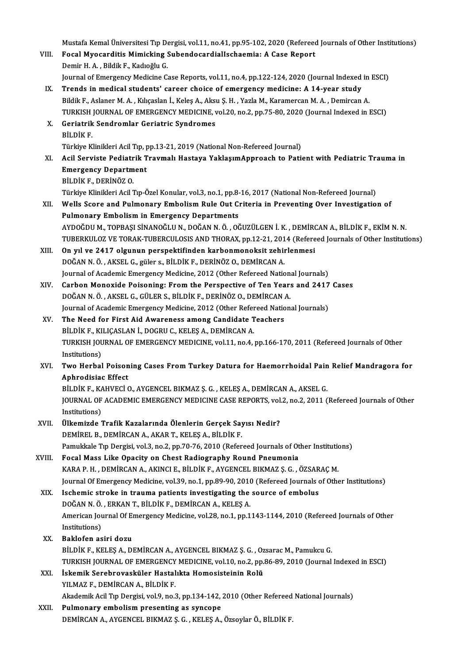Mustafa Kemal Üniversitesi Tıp Dergisi, vol.11, no.41, pp.95-102, 2020 (Refereed Journals of Other Institutions)<br>Fogal Muaganditis Mimielting SubondosandialIscheemia: A Case Penert

- VIII. Focal Myocarditis Mimicking SubendocardialIschaemia: A Case Report<br>Demir H. A., Bildik F., Kadioğlu G. Mustafa Kemal Üniversitesi Tıp Demir H. A. , Bildik F., Kadıoğlu G.<br>Demir H. A. , Bildik F., Kadıoğlu G.<br>Journal of Emergengu Medisine G. Focal Myocarditis Mimicking SubendocardialIschaemia: A Case Report<br>Demir H. A. , Bildik F., Kadıoğlu G.<br>Journal of Emergency Medicine Case Reports, vol.11, no.4, pp.122-124, 2020 (Journal Indexed in ESCI)<br>Tranda in medical
	- IX. Trends in medical students' career choice of emergency medicine: A 14-year study<br>Bildik F., Aslaner M. A., Kılıçaslan İ., Keleş A., Aksu Ş. H., Yazla M., Karamercan M. A., Demircan A. Journal of Emergency Medicine Case Reports, vol.11, no.4, pp.122-124, 2020 (Journal Indexed in<br>Trends in medical students' career choice of emergency medicine: A 14-year study<br>Bildik F., Aslaner M. A. , Kılıçaslan İ., Kele Trends in medical students' career choice of emergency medicine: A 14-year study<br>Bildik F., Aslaner M. A. , Kılıçaslan İ., Keleş A., Aksu Ş. H. , Yazla M., Karamercan M. A. , Demircan A.<br>TURKISH JOURNAL OF EMERGENCY MEDICI Bildik F., Aslaner M. A. , Kılıçaslan İ., Keleş A., Aks<br>TURKISH JOURNAL OF EMERGENCY MEDICINE, v<br>X. Geriatrik Sendromlar Geriatric Syndromes<br>Pit Div F
	- TURKISH<br>Geriatrik<br>BİLDİK F.<br>Türkiye K X. Geriatrik Sendromlar Geriatric Syndromes<br>BİLDİK F.<br>Türkiye Klinikleri Acil Tıp, pp.13-21, 2019 (National Non-Refereed Journal)
	- BİLDİK F.<br>Türkiye Klinikleri Acil Tıp, pp.13-21, 2019 (National Non-Refereed Journal)<br>XI. Acil Serviste Pediatrik Travmalı Hastaya YaklaşımApproach to Patient with Pediatric Trauma in<br>Emergeney Depertment Türkiye Klinikleri Acil Tıp, <sub>I</sub><br>Acil Serviste Pediatrik T<br>Emergency Department<br>Pil Dik E. DEPİNÖZ O Acil Serviste Pediatr<br>Emergency Departm<br>BİLDİK F., DERİNÖZ 0.<br>Türkiye Klinikleri Acil 1 Emergency Department<br>BİLDİK F., DERİNÖZ O.<br>Türkiye Klinikleri Acil Tıp-Özel Konular, vol.3, no.1, pp.8-16, 2017 (National Non-Refereed Journal)<br>Wells Ssere and Pulmenery Embeliam Pule Out Criteria in Preyenting Over Invest

BİLDİK F., DERİNÖZ O.<br>Türkiye Klinikleri Acil Tıp-Özel Konular, vol.3, no.1, pp.8-16, 2017 (National Non-Refereed Journal)<br>XII. Wells Score and Pulmonary Embolism Rule Out Criteria in Preventing Over Investigation of<br>Pulmo Türkiye Klinikleri Acil Tıp-Özel Konular, vol.3, no.1, pp.8-<br>Wells Score and Pulmonary Embolism Rule Out Ci<br>Pulmonary Embolism in Emergency Departments<br>AYDOČDU M. TOPRASI SİNANOČLU N. DOČAN N.Ö. QÖ AYDOĞDUM.,TOPBAŞI SİNANOĞLUN.,DOĞANN.Ö. ,OĞUZÜLGENİ.K. ,DEMİRCANA.,BİLDİKF.,EKİMN.N.

- TUBERKULOZ VE TORAK-TUBERCULOSIS AND THORAX, pp.12-21, 2014 (Refereed Journals of Other Institutions)
- AYDOĞDU M., TOPBAŞI SİNANOĞLU N., DOĞAN N. Ö. , OĞUZÜLGEN İ. K. , DEMİRO<br>TUBERKULOZ VE TORAK-TUBERCULOSIS AND THORAX, pp.12-21, 2014 (Refere<br>XIII. On yıl ve 2417 olgunun perspektifinden karbonmonoksit zehirlenmesi<br>POĞAN N. TUBERKULOZ VE TORAK-TUBERCULOSIS AND THORAX, pp.12-21, 201<br>On yıl ve 2417 olgunun perspektifinden karbonmonoksit zehin<br>DOĞAN N. Ö. , AKSEL G., güler s., BİLDİK F., DERİNÖZ O., DEMİRCAN A.<br>Journal of Asadamia Emersonsu Madi On yıl ve 2417 olgunun perspektifinden karbonmonoksit zehirlenmesi<br>DOĞAN N. Ö. , AKSEL G., güler s., BİLDİK F., DERİNÖZ O., DEMİRCAN A.<br>Journal of Academic Emergency Medicine, 2012 (Other Refereed National Journals)<br>Carbon DOĞAN N. Ö. , AKSEL G., güler s., BİLDİK F., DERİNÖZ O., DEMİRCAN A.<br>Journal of Academic Emergency Medicine, 2012 (Other Refereed National Journals)<br>XIV. Carbon Monoxide Poisoning: From the Perspective of Ten Years and
- DOĞAN N.Ö., AKSEL G., GÜLER S., BİLDİK F., DERİNÖZ O., DEMİRCAN A. Carbon Monoxide Poisoning: From the Perspective of Ten Years and 2417<br>DOĞAN N.Ö., AKSEL G., GÜLER S., BİLDİK F., DERİNÖZ O., DEMİRCAN A.<br>Journal of Academic Emergency Medicine, 2012 (Other Refereed National Journals)<br>The N DOĞAN N. Ö., AKSEL G., GÜLER S., BİLDİK F., DERİNÖZ O., DEMİRCAN .<br>Journal of Academic Emergency Medicine, 2012 (Other Refereed National XV.<br>XV. The Need for First Aid Awareness among Candidate Teachers<br>PU DIK E. KU ICASLA
- Journal of Academic Emergency Medicine, 2012 (Other Refer<br>The Need for First Aid Awareness among Candidate T<br>BİLDİK F., KILIÇASLAN İ., DOGRU C., KELEŞ A., DEMİRCAN A.<br>TURKISH JOURNAL OF EMERCENCY MEDICINE .vol 11. no 4. The Need for First Aid Awareness among Candidate Teachers<br>BİLDİK F., KILIÇASLAN İ., DOGRU C., KELEŞ A., DEMİRCAN A.<br>TURKISH JOURNAL OF EMERGENCY MEDICINE, vol.11, no.4, pp.166-170, 2011 (Refereed Journals of Other<br>Institut BİLDİK F., KILIÇASLAN İ., DOGRU C., KELEŞ A., DEMİRCAN A. TURKISH JOURNAL OF EMERGENCY MEDICINE, vol.11, no.4, pp.166-170, 2011 (Refereed Journals of Other<br>Institutions)<br>XVI. Two Herbal Poisoning Cases From Turkey Datura for Haemorrhoidal Pain Relief Mandragora for<br>Anhuadisias Ef
- Institutions)<br>Two Herbal Poison<br>Aphrodisiac Effect<br>Pit Div F, VAHVECI ( Two Herbal Poisoning Cases From Turkey Datura for Haemorrhoidal Pain<br>Aphrodisiac Effect<br>BİLDİK F., KAHVECİ O., AYGENCEL BIKMAZ Ş.G. , KELEŞ A., DEMİRCAN A., AKSEL G.<br>JOUPMAL OE ACADEMIC EMERCENCY MEDICINE CASE REROPTS, vol

Aphrodisiac Effect<br>BİLDİK F., KAHVECİ O., AYGENCEL BIKMAZ Ş. G. , KELEŞ A., DEMİRCAN A., AKSEL G.<br>JOURNAL OF ACADEMIC EMERGENCY MEDICINE CASE REPORTS, vol.2, no.2, 2011 (Refereed Journals of Other<br>Institutione) BİLDİK F., KA<br>JOURNAL OF<br>Institutions)<br>Ülkemirde 7 JOURNAL OF ACADEMIC EMERGENCY MEDICINE CASE REPORTS, vol.<br>Institutions)<br>XVII. Ülkemizde Trafik Kazalarında Ölenlerin Gerçek Sayısı Nedir?<br>DEMİPEL B. DEMİPCAN A AKAR T. KELES A. BİLDİK E.

- Institutions)<br>Ülkemizde Trafik Kazalarında Ölenlerin Gerçek Sayısı Nedir?<br>DEMİREL B., DEMİRCAN A., AKAR T., KELEŞ A., BİLDİK F. Ülkemizde Trafik Kazalarında Ölenlerin Gerçek Sayısı Nedir?<br>DEMİREL B., DEMİRCAN A., AKAR T., KELEŞ A., BİLDİK F.<br>Pamukkale Tıp Dergisi, vol.3, no.2, pp.70-76, 2010 (Refereed Journals of Other Institutions)<br>Fessal Mass Lik DEMIREL B., DEMIRCAN A., AKAR T., KELEȘ A., BİLDİK F.<br>Pamukkale Tıp Dergisi, vol.3, no.2, pp.70-76, 2010 (Refereed Journals of Ot<br>XVIII. Focal Mass Like Opacity on Chest Radiography Round Pneumonia<br>KARA B.H., DEMIRCAN A. A
- Pamukkale Tıp Dergisi, vol.3, no.2, pp.70-76, 2010 (Refereed Journals of Other Institution<br>Focal Mass Like Opacity on Chest Radiography Round Pneumonia<br>KARA P. H. , DEMİRCAN A., AKINCI E., BİLDİK F., AYGENCEL BIKMAZ Ş.G. , VIII. Focal Mass Like Opacity on Chest Radiography Round Pneumonia<br>KARA P. H. , DEMIRCAN A., AKINCI E., BILDIK F., AYGENCEL BIKMAZ Ș. G. , ÖZSARAÇ M.<br>Journal Of Emergency Medicine, vol.39, no.1, pp.89-90, 2010 (Refereed Jo KARA P. H., DEMIRCAN A., AKINCI E., BILDIK F., AYGENCEL BIKMAZ Ş. G., ÖZSAR<br>Journal Of Emergency Medicine, vol.39, no.1, pp.89-90, 2010 (Refereed Journals of Emergency Medicine, vol.39, no.1, pp.89-90, 2010 (Refereed Journ

### Journal Of Emergency Medicine, vol.39, no.1, pp.89-90, 2010<br>Ischemic stroke in trauma patients investigating the<br>DOĞAN N.Ö., ERKAN T., BİLDİK F., DEMİRCAN A., KELEŞ A. Ischemic stroke in trauma patients investigating the source of embolus<br>DOĞAN N. Ö. , ERKAN T., BİLDİK F., DEMİRCAN A., KELEŞ A.<br>American Journal Of Emergency Medicine, vol.28, no.1, pp.1143-1144, 2010 (Refereed Journals of DOĞAN N. Ö.<br>American Jou<br>Institutions)<br>Paklafan as American Journal Of El<br>Institutions)<br>XX. Baklofen asiri dozu<br>Pil Dik E KELES A DI

- Institutions)<br>Baklofen asiri dozu<br>BİLDİK F., KELES A., DEMİRCAN A., AYGENCEL BIKMAZ S. G. , Ozsarac M., Pamukcu G. TURKISH JOURNAL OF EMERGENCY MEDICINE, vol.10, no.2, pp.86-89, 2010 (Journal Indexed in ESCI) BİLDİK F., KELEŞ A., DEMİRCAN A., AYGENCEL BIKMAZ Ş. G. , Oz<br>TURKISH JOURNAL OF EMERGENCY MEDICINE, vol.10, no.2, pp.<br>XXI. İskemik Serebrovasküler Hastalıkta Homosisteinin Rolü<br>XII. MAZ E. DEMİRCAN A. BİLDİK E
- TURKISH JOURNAL OF EMERGENCY<br>İskemik Serebrovasküler Hastal<br>YILMAZ F., DEMİRCAN A., BİLDİK F.<br>Akademik Acil Tın Dergisi, val 9. ne i YILMAZ F., DEMİRCAN A., BİLDİK F.<br>Akademik Acil Tıp Dergisi, vol.9, no.3, pp.134-142, 2010 (Other Refereed National Journals)

XXII. Pulmonary embolism presenting as syncope DEMİRCAN A., AYGENCEL BIKMAZ Ş. G., KELEŞ A., Özsoylar Ö., BİLDİK F.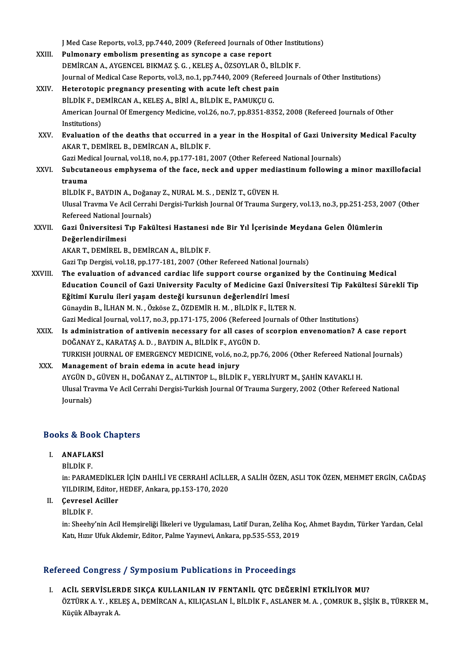J Med Case Reports, vol.3, pp.7440, 2009 (Refereed Journals of Other Institutions)<br>Pulmenery embeliam presenting es syncene a sase report

|         | J Med Case Reports, vol.3, pp.7440, 2009 (Refereed Journals of Other Institutions)                             |
|---------|----------------------------------------------------------------------------------------------------------------|
| XXIII.  | Pulmonary embolism presenting as syncope a case report                                                         |
|         | DEMIRCAN A., AYGENCEL BIKMAZ Ş. G., KELEŞ A., ÖZSOYLAR Ö., BİLDİK F.                                           |
|         | Journal of Medical Case Reports, vol.3, no.1, pp.7440, 2009 (Refereed Journals of Other Institutions)          |
| XXIV.   | Heterotopic pregnancy presenting with acute left chest pain                                                    |
|         | BİLDİK F., DEMİRCAN A., KELEŞ A., BİRİ A., BİLDİK E., PAMUKÇU G.                                               |
|         | American Journal Of Emergency Medicine, vol.26, no.7, pp.8351-8352, 2008 (Refereed Journals of Other           |
|         | Institutions)                                                                                                  |
| XXV.    | Evaluation of the deaths that occurred in a year in the Hospital of Gazi University Medical Faculty            |
|         | AKAR T., DEMİREL B., DEMİRCAN A., BİLDİK F.                                                                    |
|         | Gazi Medical Journal, vol.18, no.4, pp.177-181, 2007 (Other Refereed National Journals)                        |
| XXVI.   | Subcutaneous emphysema of the face, neck and upper mediastinum following a minor maxillofacial                 |
|         | trauma                                                                                                         |
|         | BİLDİK F., BAYDIN A., Doğanay Z., NURAL M. S., DENİZ T., GÜVEN H.                                              |
|         | Ulusal Travma Ve Acil Cerrahi Dergisi-Turkish Journal Of Trauma Surgery, vol.13, no.3, pp.251-253, 2007 (Other |
|         | Refereed National Journals)                                                                                    |
| XXVII.  | Gazi Üniversitesi Tıp Fakültesi Hastanesi nde Bir Yıl İçerisinde Meydana Gelen Ölümlerin                       |
|         | Değerlendirilmesi                                                                                              |
|         | AKAR T., DEMIREL B., DEMIRCAN A., BILDIK F.                                                                    |
|         | Gazi Tıp Dergisi, vol.18, pp.177-181, 2007 (Other Refereed National Journals)                                  |
| XXVIII. | The evaluation of advanced cardiac life support course organized by the Continuing Medical                     |
|         | Education Council of Gazi University Faculty of Medicine Gazi Üniversitesi Tip Fakültesi Sürekli Tip           |
|         | Eğitimi Kurulu ileri yaşam desteği kursunun değerlendiri lmesi                                                 |
|         | Günaydin B., İLHAN M. N., Özköse Z., ÖZDEMİR H. M., BİLDİK F., İLTER N.                                        |
|         | Gazi Medical Journal, vol.17, no.3, pp.171-175, 2006 (Refereed Journals of Other Institutions)                 |
| XXIX.   | Is administration of antivenin necessary for all cases of scorpion envenomation? A case report                 |
|         | DOĞANAY Z., KARATAŞ A. D., BAYDIN A., BİLDİK F., AYGÜN D.                                                      |
|         | TURKISH JOURNAL OF EMERGENCY MEDICINE, vol.6, no.2, pp.76, 2006 (Other Refereed National Journals)             |
| XXX.    | Management of brain edema in acute head injury                                                                 |
|         | AYGÜN D., GÜVEN H., DOĞANAY Z., ALTINTOP L., BİLDİK F., YERLİYURT M., ŞAHİN KAVAKLI H.                         |
|         | Ulusal Travma Ve Acil Cerrahi Dergisi-Turkish Journal Of Trauma Surgery, 2002 (Other Refereed National         |
|         | Journals)                                                                                                      |
|         |                                                                                                                |

## <sub>Journais)</sub><br>Books & Book Chapters OOKS & Book<br>I. ANAFLAKSİ<br>P<sup>ildik F</sup>

I. ANAFLAKSİ<br>BİLDİK F.

in: PARAMEDİKLER İÇİN DAHİLİ VE CERRAHİ ACİLLER, A SALİH ÖZEN, ASLI TOK ÖZEN, MEHMET ERGİN, CAĞDAŞ BİLDİK F.<br>in: PARAMEDİKLER İÇİN DAHİLİ VE CERRAHİ ACİLLI<br>YILDIRIM, Editor, HEDEF, Ankara, pp.153-170, 2020<br>Cavrasal Asillar in: PARAMEDİKLE<br>
YILDIRIM, Editor,<br>
II. Gevresel Aciller<br>
Pit Dik E YILDIRIM<br>Çevresel<br>BİLDİK F.

II. Çevresel Aciller<br>BİLDİK F.<br>in: Sheehy'nin Acil Hemşireliği İlkeleri ve Uygulaması, Latif Duran, Zeliha Koç, Ahmet Baydın, Türker Yardan, Celal Katı, Hızır Ufuk Akdemir, Editor, Palme Yayınevi, Ankara, pp.535-553, 2019

#### Refereed Congress / Symposium Publications in Proceedings

efereed Congress / Symposium Publications in Proceedings<br>I. ACİL SERVİSLERDE SIKÇA KULLANILAN IV FENTANİL QTC DEĞERİNİ ETKİLİYOR MU?<br>ÖZTÜPKA X. KELESA DEMIRCANA KUJCASLANİ BU DİKE ASLANER MA COMBUK B. SİS ÖZTÜRK A. Y. , KELEŞ A., DEMİRCAN A., KILIÇASLAN İ., BİLDİK F., ASLANER M. A. , ÇOMRUK B., ŞİŞİK B., TÜRKER M.,<br>Küçük Albayrak A. <mark>ACİL SERVİSLER</mark><br>ÖZTÜRK A. Y. , KEI<br>Küçük Albayrak A.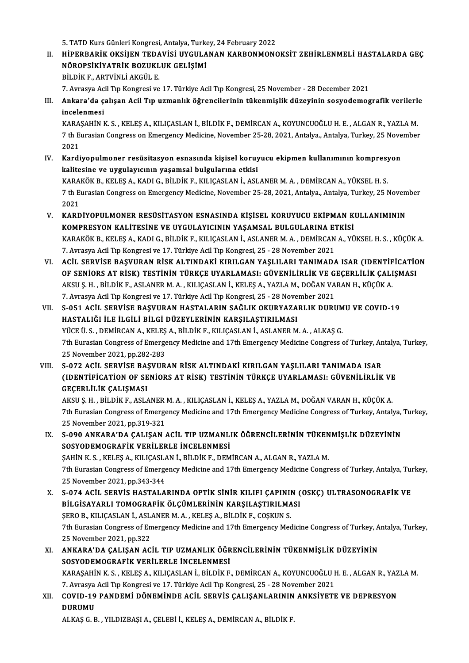5. TATD Kurs Günleri Kongresi, Antalya, Turkey, 24 February 2022<br>Hipeppa Rik Oksilen Tenavisi UKCULANAN KARRONMONG

5. TATD Kurs Günleri Kongresi, Antalya, Turkey, 24 February 2022<br>II. HİPERBARİK OKSİJEN TEDAVİSİ UYGULANAN KARBONMONOKSİT ZEHİRLENMELİ HASTALARDA GEÇ<br>NÖRORSİKİYATRİK ROZUKLUK CELİSİMİ 5. TATD Kurs Günleri Kongresi, Antalya, Turk<br>HİPERBARİK OKSİJEN TEDAVİSİ UYGULA<br>NÖROPSİKİYATRİK BOZUKLUK GELİŞİMİ<br>PİLDİK E. APTVİNLİ AKÇÜL E HİPERBARİK OKSİJEN TEDA<br>NÖROPSİKİYATRİK BOZUKL<br>BİLDİK F., ARTVİNLİ AKGÜL E.<br>7. Aurasya Asil Tın Konspasi ve NÖROPSİKİYATRİK BOZUKLUK GELİŞİMİ<br>BİLDİK F., ARTVİNLİ AKGÜL E.<br>7. Avrasya Acil Tıp Kongresi ve 17. Türkiye Acil Tıp Kongresi, 25 November - 28 December 2021<br>Ankara'da salısan Asil Tıp uzmanlık öğrensilerinin tükenmislik dü

BİLDİK F., ARTVİNLİ AKGÜL E.<br>7. Avrasya Acil Tıp Kongresi ve 17. Türkiye Acil Tıp Kongresi, 25 November - 28 December 2021<br>III. Ankara'da çalışan Acil Tıp uzmanlık öğrencilerinin tükenmişlik düzeyinin sosyodemografik v 7. Avrasya Ac<br><mark>Ankara'da ç</mark><br>incelenmesi<br>*v* Ansauin i

KARAŞAHİNK.S. ,KELEŞA.,KILIÇASLANİ.,BİLDİKF.,DEMİRCANA.,KOYUNCUOĞLUH.E. ,ALGANR.,YAZLAM. incelenmesi<br>KARAŞAHİN K. S. , KELEŞ A., KILIÇASLAN İ., BİLDİK F., DEMİRCAN A., KOYUNCUOĞLU H. E. , ALGAN R., YAZLA M.<br>7 th Eurasian Congress on Emergency Medicine, November 25-28, 2021, Antalya., Antalya, Turkey, 25 Novemb KARA<br>7 th E<br>2021<br>Kardi 7 th Eurasian Congress on Emergency Medicine, November 25-28, 2021, Antalya, Antalya, Turkey, 25 Nove<br>2021<br>IV. Kardiyopulmoner resüsitasyon esnasında kişisel koruyucu ekipmen kullanımının kompresyon<br>Italitasine ve uygulayı

- 2021<br>Kardiyopulmoner resüsitasyon esnasında kişisel koruy<br>kalitesine ve uygulayıcının yaşamsal bulgularına etkisi<br>KARAKÖK B. KELES A. KADLG PİLDİK E. KU ICASLAN İ. ASL Kardiyopulmoner resüsitasyon esnasında kişisel koruyucu ekipmen kullanımının kompresy<br>kalitesine ve uygulayıcının yaşamsal bulgularına etkisi<br>KARAKÖK B., KELEŞ A., KADI G., BİLDİK F., KILIÇASLAN İ., ASLANER M. A. , DEMİRCA kalitesine ve uygulayıcının yaşamsal bulgularına etkisi<br>KARAKÖK B., KELEŞ A., KADI G., BİLDİK F., KILIÇASLAN İ., ASLANER M. A. , DEMİRCAN A., YÜKSEL H. S.<br>7 th Eurasian Congress on Emergency Medicine, November 25-28, 2021, **KARA**<br>7 th E<sup>1</sup><br>2021<br>*W*ARD 7 th Eurasian Congress on Emergency Medicine, November 25-28, 2021, Antalya, Antalya, Turkey, 25 Novem 2021<br>2021<br>V. KARDİYOPULMONER RESÜSİTASYON ESNASINDA KİŞİSEL KORUYUCU EKİPMAN KULLANIMININ<br>20MBDESYON KALİTESİNE VE UYCU
- 2021<br>V. KARDİYOPULMONER RESÜSİTASYON ESNASINDA KİŞİSEL KORUYUCU EKİPMAN KULLANIMININ KARAKÖK B., KELEŞ A., KADI G., BİLDİK F., KILIÇASLAN İ., ASLANER M. A. , DEMİRCAN A., YÜKSEL H. S. , KÜÇÜK A.<br>7. Avrasya Acil Tıp Kongresi ve 17. Türkiye Acil Tıp Kongresi, 25 - 28 November 2021 KOMPRESYON KALITESINE VE UYGULAYICININ YAŞAMSAL BULGULARINA ETKISI KARAKÖK B., KELEŞ A., KADI G., BİLDİK F., KILIÇASLAN İ., ASLANER M. A. , DEMİRCAN A., YÜKSEL H. S. , KÜÇÜK A.<br>7. Avrasya Acil Tıp Kongresi ve 17. Türkiye Acil Tıp Kongresi, 25 - 28 November 2021<br>1. ACİL SERVİSE BAŞVURAN Rİ
- 7. Avrasya Acil Tıp Kongresi ve 17. Türkiye Acil Tıp Kongresi, 25 28 November 2021<br>ACİL SERVİSE BAŞVURAN RİSK ALTINDAKİ KIRILGAN YAŞLILARI TANIMADA ISAR (IDENTİFİCATİC<br>OF SENİORS AT RİSK) TESTİNİN TÜRKÇE UYARLAMASI: GÜVE ACİL SERVİSE BAŞVURAN RİSK ALTINDAKİ KIRILGAN YAŞLILARI TANIMADA ISAR (IDENTİF OF SENİORS AT RİSK) TESTİNİN TÜRKÇE UYARLAMASI: GÜVENİLİRLİK VE GEÇERLİLİK ÇALI<br>AKSU Ş. H. , BİLDİK F., ASLANER M. A. , KILIÇASLAN İ., KELEŞ A. OF SENİORS AT RİSK) TESTİNİN TÜRKÇE UYARLAMASI: GÜVENİLİRLİK VE G<br>AKSU Ş. H. , BİLDİK F., ASLANER M. A. , KILIÇASLAN İ., KELEŞ A., YAZLA M., DOĞAN VA<br>7. Avrasya Acil Tıp Kongresi ve 17. Türkiye Acil Tıp Kongresi, 25 - 28 N AKSU Ş. H. , BİLDİK F., ASLANER M. A. , KILIÇASLAN İ., KELEŞ A., YAZLA M., DOĞAN VARAN H., KÜÇÜK A.<br>7. Avrasya Acil Tıp Kongresi ve 17. Türkiye Acil Tıp Kongresi, 25 - 28 November 2021<br>VII. S-051 ACİL SERVİSE BAŞVURAN
- 7. Avrasya Acil Tıp Kongresi ve 17. Türkiye Acil Tıp Kongresi, 25 28 Nove<br>S-051 ACİL SERVİSE BAŞVURAN HASTALARIN SAĞLIK OKURYAZA<br>HASTALIĞI İLE İLGİLİ BİLGİ DÜZEYLERİNİN KARŞILAŞTIRILMASI<br>VÜCE Ü S., DEMİRCAN A, KELES A, B S-051 ACİL SERVİSE BAŞVURAN HASTALARIN SAĞLIK OKURYAZARLIK DURUM<br>HASTALIĞI İLE İLGİLİ BİLGİ DÜZEYLERİNİN KARŞILAŞTIRILMASI<br>YÜCE Ü.S., DEMİRCAN A., KELEŞ A., BİLDİK F., KILIÇASLAN İ., ASLANER M. A. , ALKAŞ G.<br>7th Eurosian C HASTALIĞI İLE İLGİLİ BİLGİ DÜZEYLERİNİN KARŞILAŞTIRILMASI<br>YÜCE Ü. S. , DEMİRCAN A., KELEŞ A., BİLDİK F., KILIÇASLAN İ., ASLANER M. A. , ALKAŞ G.<br>7th Eurasian Congress of Emergency Medicine and 17th Emergency Medicine Congr YÜCE Ü. S., DEMIRCAN A., KELEŞ A., BİLDİK F., KILIÇASLAN İ., ASLANER M. A., ALKAŞ G. 7th Eurasian Congress of Emergency Medicine and 17th Emergency Medicine Congress of Turkey, An<br>25 November 2021, pp.282-283<br>VIII. S-072 ACİL SERVİSE BAŞVURAN RİSK ALTINDAKİ KIRILGAN YAŞLILARI TANIMADA ISAR<br>(IDENTİEİCATİON
- 25 November 2021, pp.282-283<br>S-072 ACİL SERVİSE BAŞVURAN RİSK ALTINDAKİ KIRILGAN YAŞLILARI TANIMADA ISAR<br>(IDENTİFİCATİON OF SENİORS AT RİSK) TESTİNİN TÜRKÇE UYARLAMASI: GÜVENİLİRLİK VE<br>CECERLİLİK CALISMASI S-072 ACİL SERVİSE BAŞ<br>(IDENTİFİCATİON OF SE<br>GEÇERLİLİK ÇALIŞMASI<br>AKSUS HERLİLİK ELASLA (IDENTİFİCATİON OF SENİORS AT RİSK) TESTİNİN TÜRKÇE UYARLAMASI: GÜVENİLİRLİK VE<br>GEÇERLİLİK ÇALIŞMASI<br>AKSU Ş. H. , BİLDİK F., ASLANER M. A. , KILIÇASLAN İ., KELEŞ A., YAZLA M., DOĞAN VARAN H., KÜÇÜK A.<br>7th Eurosian Cangress

GEÇERLİLİK ÇALIŞMASI<br>AKSU Ş. H. , BİLDİK F., ASLANER M. A. , KILIÇASLAN İ., KELEŞ A., YAZLA M., DOĞAN VARAN H., KÜÇÜK A.<br>7th Eurasian Congress of Emergency Medicine and 17th Emergency Medicine Congress of Turkey, Antalya, AKSU Ş. H. , BİLDİK F., ASLANER<br>7th Eurasian Congress of Emerge<br>25 November 2021, pp.319-321<br>5 000 ANKARA'DA GALISAN Tth Eurasian Congress of Emergency Medicine and 17th Emergency Medicine Congress of Turkey, Antalya,<br>25 November 2021, pp.319-321<br>IX. S-090 ANKARA'DA ÇALIŞAN ACİL TIP UZMANLIK ÖĞRENCİLERİNİN TÜKENMİŞLİK DÜZEYİNİN<br>SOSVOREMO

- 25 November 2021, pp.319-321<br>S-090 ANKARA'DA ÇALIŞAN ACİL TIP UZMANLI<br>SOSYODEMOGRAFİK VERİLERLE İNCELENMESİ<br>SAHİN K.Ş. KELEŞA, KU IÇASLAN İ. BİLDİK E. DEM S-090 ANKARA'DA ÇALIŞAN ACİL TIP UZMANLIK ÖĞRENCİLERİNİN TÜKEN<br>SOSYODEMOGRAFİK VERİLERLE İNCELENMESİ<br>ŞAHİN K. S. , KELEŞ A., KILIÇASLAN İ., BİLDİK F., DEMİRCAN A., ALGAN R., YAZLA M.<br>7th Eurosian Congress of Emergengu Medi SOSYODEMOGRAFİK VERİLERLE İNCELENMESİ<br>ŞAHİN K. S. , KELEŞ A., KILIÇASLAN İ., BİLDİK F., DEMİRCAN A., ALGAN R., YAZLA M.<br>7th Eurasian Congress of Emergency Medicine and 17th Emergency Medicine Congress of Turkey, Antalya, T SAHIN K. S., KELES A., KILIÇASLA<br>7th Eurasian Congress of Emerge<br>25 November 2021, pp.343-344<br>8.074 ACU SERVIS HASTALA
- Th Eurasian Congress of Emergency Medicine and 17th Emergency Medicine Congress of Turkey, Antalya, Turkey 25 November 2021, pp.343-344<br>X. S-074 ACİL SERVİS HASTALARINDA OPTİK SİNİR KILIFI ÇAPININ (OSKÇ) ULTRASONOGRAFİK VE 25 November 2021, pp.343-344<br>S-074 ACİL SERVİS HASTALARINDA OPTİK SİNİR KILIFI ÇAPININ (<br>BİLGİSAYARLI TOMOGRAFİK ÖLÇÜMLERİNIN KARŞILAŞTIRILMASI<br>SERO B. KU IÇASLAN İ. ASLANER M.A., KELES A. BİLDİK E. ÇOSKUN S S-074 ACİL SERVİS HASTALARINDA OPTİK SİNİR KILIFI ÇAPINII<br>BİLGİSAYARLI TOMOGRAFİK ÖLÇÜMLERİNİN KARŞILAŞTIRILMA<br>ŞERO B., KILIÇASLAN İ., ASLANER M. A. , KELEŞ A., BİLDİK F., COŞKUN S.<br><sup>711, E</sup>urasian Congress of Emergengu Me BİLGİSAYARLI TOMOGRAFİK ÖLÇÜMLERİNİN KARŞILAŞTIRILMASI<br>ŞERO B., KILIÇASLAN İ., ASLANER M. A. , KELEŞ A., BİLDİK F., COŞKUN S.<br>7th Eurasian Congress of Emergency Medicine and 17th Emergency Medicine Congress of Turkey, Anta \$ERO B., KILIÇASLAN İ., ASLANER M. A. , KELEŞ A., BİLDİK F., COŞKUN S.<br>7th Eurasian Congress of Emergency Medicine and 17th Emergency Med<br>25 November 2021, pp.322 Tth Eurasian Congress of Emergency Medicine and 17th Emergency Medicine Congress of Turkey, A<br>25 November 2021, pp.322<br>XI. ANKARA'DA ÇALIŞAN ACİL TIP UZMANLIK ÖĞRENCİLERİNİN TÜKENMİŞLİK DÜZEYİNİN<br>50SYOREMOCRAFİK VERLI ERLE
- XI. ANKARA'DA ÇALIŞAN ACİL TIP UZMANLIK ÖĞRENCİLERİNİN TÜKENMIŞLIK DÜZEYININ SOSYODEMOGRAFIK VERİLERLE İNCELENMESİ ANKARA'DA ÇALIŞAN ACİL TIP UZMANLIK ÖĞRENCİLERİNİN TÜKENMİŞLİK DÜZEYİNİN<br>SOSYODEMOGRAFİK VERİLERLE İNCELENMESİ<br>KARAŞAHİN K. S. , KELEŞ A., KILIÇASLAN İ., BİLDİK F., DEMİRCAN A., KOYUNCUOĞLU H. E. , ALGAN R., YAZLA M.<br>7. Ay SOSYODEMOGRAFİK VERİLERLE İNCELENMESİ<br>KARAŞAHİN K. S. , KELEŞ A., KILIÇASLAN İ., BİLDİK F., DEMİRCAN A., KOYUNCUOĞLU I<br>7. Avrasya Acil Tıp Kongresi ve 17. Türkiye Acil Tıp Kongresi, 25 - 28 November 2021<br>COVID 19 PANDEMİ D KARAŞAHİN K. S. , KELEŞ A., KILIÇASLAN İ., BİLDİK F., DEMİRCAN A., KOYUNCUOĞLU H. E. , ALGAN R., YAZ<br>7. Avrasya Acil Tıp Kongresi ve 17. Türkiye Acil Tıp Kongresi, 25 - 28 November 2021<br>XII.
- 7. Avrasya Acil Tıp Kongresi ve 17. Türkiye Acil Tıp Kongresi, 25 28 November 2021<br>XII. COVID-19 PANDEMİ DÖNEMİNDE ACİL SERVİS ÇALIŞANLARININ ANKSİYETE VE DEPRESYON<br>DURUMU

ALKAŞG.B. ,YILDIZBAŞIA.,ÇELEBİ İ.,KELEŞA.,DEMİRCANA.,BİLDİKF.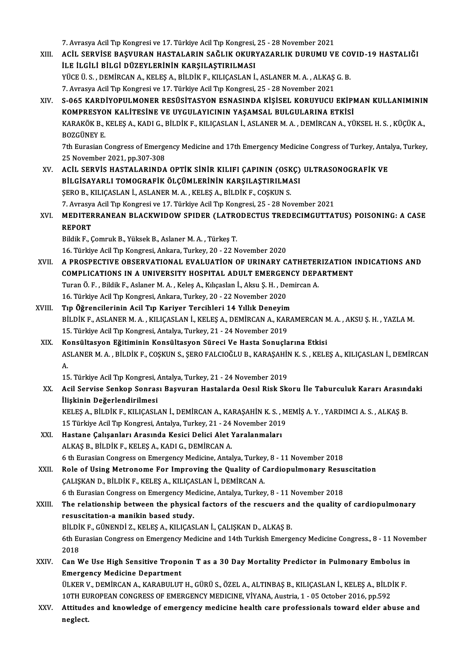7. Avrasya Acil Tıp Kongresi ve 17. Türkiye Acil Tıp Kongresi, 25 - 28 November 2021<br>Acil, SERVİSE RASVURAN HASTALARIN SAĞLIK OKURYAZARLIK DURUMU VI

7. Avrasya Acil Tıp Kongresi ve 17. Türkiye Acil Tıp Kongresi, 25 - 28 November 2021<br>XIII. ACİL SERVİSE BAŞVURAN HASTALARIN SAĞLIK OKURYAZARLIK DURUMU VE COVID-19 HASTALIĞI 7. Avrasya Acil Tıp Kongresi ve 17. Türkiye Acil Tıp Kongresi,<br>ACİL SERVİSE BAŞVURAN HASTALARIN SAĞLIK OKUR<br>İLE İLGİLİ BİLGİ DÜZEYLERİNİN KARŞILAŞTIRILMASI<br>VÜCE Ü S., DEMİRCAN A, KELES A, BİLDİK E, KU ICASLAN İ ACİL SERVİSE BAŞVURAN HASTALARIN SAĞLIK OKURYAZARLIK DURUMU VE CO<br>İLE İLGİLİ BİLGİ DÜZEYLERİNİN KARŞILAŞTIRILMASI<br>YÜCE Ü.S., DEMİRCAN A., KELEŞ A., BİLDİK F., KILIÇASLAN İ., ASLANER M. A. , ALKAŞ G. B.<br>7. Ayrayya Asil Tır İLE İLGİLİ BİLGİ DÜZEYLERİNİN KARŞILAŞTIRILMASI<br>YÜCE Ü. S. , DEMİRCAN A., KELEŞ A., BİLDİK F., KILIÇASLAN İ., ASLANER M. A. , ALKAŞ G. B.<br>7. Avrasya Acil Tıp Kongresi ve 17. Türkiye Acil Tıp Kongresi, 25 - 28 November 2021 YÜCE Ü. S. , DEMİRCAN A., KELEŞ A., BİLDİK F., KILIÇASLAN İ., ASLANER M. A. , ALKAŞ G. B.<br>7. Avrasya Acil Tıp Kongresi ve 17. Türkiye Acil Tıp Kongresi, 25 - 28 November 2021<br>XIV. S-065 KARDİYOPULMONER RESÜSİTASYON ESN 7. Avrasya Acil Tıp Kongresi ve 17. Türkiye Acil Tıp Kongresi, 25 - 28 November 2021<br>S-065 KARDİYOPULMONER RESÜSİTASYON ESNASINDA KİŞİSEL KORUYUCU EKİPI<br>KOMPRESYON KALİTESİNE VE UYGULAYICININ YAŞAMSAL BULGULARINA ETKİSİ<br>KA S-065 KARDİYOPULMONER RESÜSİTASYON ESNASINDA KİŞİSEL KORUYUCU EKİPMAN KULLANIMININ<br>KOMPRESYON KALİTESİNE VE UYGULAYICININ YAŞAMSAL BULGULARINA ETKİSİ<br>KARAKÖK B., KELEŞ A., KADI G., BİLDİK F., KILIÇASLAN İ., ASLANER M. A. , KOMPRESYON KALİTESİNE VE UYGULAYICININ YAŞAMSAL BULGULARINA ETKİSİ<br>KARAKÖK B., KELEŞ A., KADI G., BİLDİK F., KILIÇASLAN İ., ASLANER M. A. , DEMİRCAN A., YÜKSEL H. S. , KÜÇÜK A.,<br>BOZGÜNEY E. KARAKÖK B., KELEŞ A., KADI G., BİLDİK F., KILIÇASLAN İ., ASLANER M. A. , DEMİRCAN A., YÜKSEL H. S. , KÜÇÜK A.,<br>BOZGÜNEY E.<br>7th Eurasian Congress of Emergency Medicine and 17th Emergency Medicine Congress of Turkey, Antalya **BOZGÜNEY E.<br>7th Eurasian Congress of Emerge<br>25 November 2021, pp.307-308<br>ACU, SERVIS HASTALARINDA** XV. ACİL SERVİS HASTALARINDA OPTİK SİNİR KILIFI ÇAPININ (OSKÇ) ULTRASONOGRAFİK VE BİLGİSAYARLI TOMOGRAFİK ÖLÇÜMLERİNİN KARŞILAŞTIRILMASI ŞERO B., KILIÇASLAN İ., ASLANER M. A., KELEŞ A., BİLDİK F., COŞKUN S. 7.AvrasyaAcilTıpKongresive 17.TürkiyeAcilTıpKongresi,25 -28November 2021 ȘERO B., KILIÇASLAN İ., ASLANER M. A. , KELEŞ A., BİLDİK F., COŞKUN S.<br>7. Avrasya Acil Tıp Kongresi ve 17. Türkiye Acil Tıp Kongresi, 25 - 28 November 2021<br>XVI. — MEDITERRANEAN BLACKWIDOW SPIDER (LATRODECTUS TREDECIMGUTTAT 7. Avrasya<br>MEDITEF<br>REPORT<br>Pildik E MEDITERRANEAN BLACKWIDOW SPIDER (LATRO<br>REPORT<br>Bildik F., Çomruk B., Yüksek B., Aslaner M.A. , Türkeş T.<br>16. Türkiye Asil Tıp Konspesi, Ankara, Turkey, 20, 22 N REPORT<br>Bildik F., Çomruk B., Yüksek B., Aslaner M. A. , Türkeş T.<br>16. Türkiye Acil Tıp Kongresi, Ankara, Turkey, 20 - 22 November 2020 Bildik F., Çomruk B., Yüksek B., Aslaner M. A. , Türkeş T.<br>16. Türkiye Acil Tıp Kongresi, Ankara, Turkey, 20 - 22 November 2020<br>XVII. – A PROSPECTIVE OBSERVATIONAL EVALUATION OF URINARY CATHETERIZATION INDICATIONS AND<br>COMB 16. Türkiye Acil Tıp Kongresi, Ankara, Turkey, 20 - 22 November 2020<br>A PROSPECTIVE OBSERVATIONAL EVALUATION OF URINARY CATHETERIZATION I<br>COMPLICATIONS IN A UNIVERSITY HOSPITAL ADULT EMERGENCY DEPARTMENT<br>Turan Ö. E., Bildik A PROSPECTIVE OBSERVATIONAL EVALUATION OF URINARY CATHETER<br>COMPLICATIONS IN A UNIVERSITY HOSPITAL ADULT EMERGENCY DEPA<br>Turan Ö. F., Bildik F., Aslaner M. A., Keleş A., Kılıçaslan İ., Aksu Ş. H., Demircan A.<br>16 Türkiye Asil COMPLICATIONS IN A UNIVERSITY HOSPITAL ADULT EMERGENCY DEPARTMENT<br>Turan Ö. F. , Bildik F., Aslaner M. A. , Keleş A., Kılıçaslan İ., Aksu Ş. H. , Demircan A.<br>16. Türkiye Acil Tıp Kongresi, Ankara, Turkey, 20 - 22 November 2 Turan Ö. F. , Bildik F., Aslaner M. A. , Keleş A., Kılıçaslan İ., Aksu Ş. H. , Dem<br>16. Türkiye Acil Tıp Kongresi, Ankara, Turkey, 20 - 22 November 2020<br>XVIII. Tıp Öğrencilerinin Acil Tıp Kariyer Tercihleri 14 Yıllık Deneyi BİLDİK F., ASLANER M. A. , KILIÇASLAN İ., KELEŞ A., DEMİRCAN A., KARAMERCAN M. A. , AKSU Ş. H. , YAZLA M.<br>15. Türkiye Acil Tıp Kongresi, Antalya, Turkey, 21 - 24 November 2019 Tıp Öğrencilerinin Acil Tıp Kariyer Tercihleri 14 Yıllık Deneyim<br>BİLDİK F., ASLANER M. A. , KILIÇASLAN İ., KELEŞ A., DEMİRCAN A., KAR<br>15. Türkiye Acil Tıp Kongresi, Antalya, Turkey, 21 - 24 November 2019<br>Kongültasyon Eğiti XIX. Konsültasyon Eğitiminin Konsültasyon Süreci Ve Hasta Sonuçlarına Etkisi 15. Türkiye Acil Tıp Kongresi, Antalya, Turkey, 21 - 24 November 2019<br>Konsültasyon Eğitiminin Konsültasyon Süreci Ve Hasta Sonuçlarına Etkisi<br>ASLANER M. A. , BİLDİK F., COŞKUN S., ŞERO FALCIOĞLU B., KARAŞAHİN K. S. , KELEŞ Ko<br>AS<br>A. ASLANER M. A. , BİLDİK F., COŞKUN S., ŞERO FALCIOĞLU B., KARAŞAHİI<br>A.<br>15. Türkiye Acil Tıp Kongresi, Antalya, Turkey, 21 - 24 November 2019<br>Acil Servise Senken Senresı, Besyuran Hestalarda Ossul Bisk Sk A.<br>15. Türkiye Acil Tıp Kongresi, Antalya, Turkey, 21 - 24 November 2019<br>XX. Acil Servise Senkop Sonrası Başvuran Hastalarda Oesıl Risk Skoru İle Taburculuk Kararı Arasındaki<br>İlişkinin Değerlendirilmesi 15. Türkiye Acil Tıp Kongresi, Antalya, Turkey, 21 - 24 November 2019 Acil Servise Senkop Sonrası Başvuran Hastalarda Oesıl Risk Skoru İle Taburculuk Kararı Arasınd<br>İlişkinin Değerlendirilmesi<br>KELEŞ A., BİLDİK F., KILIÇASLAN İ., DEMİRCAN A., KARAŞAHİN K.S. , MEMİŞ A. Y. , YARDIMCI A. S. , AL İlişkinin Değerlendirilmesi<br>KELEŞ A., BİLDİK F., KILIÇASLAN İ., DEMİRCAN A., KARAŞAHİN K. S. , M<br>15 Türkiye Acil Tıp Kongresi, Antalya, Turkey, 21 - 24 November 2019<br>Hastana Calisanları Arasında Kasisi Dalisi Alat Yaralanm KELEŞ A., BİLDİK F., KILIÇASLAN İ., DEMİRCAN A., KARAŞAHİN K. S., .<br>15 Türkiye Acil Tıp Kongresi, Antalya, Turkey, 21 - 24 November 2019<br>XXI. Hastane Çalışanları Arasında Kesici Delici Alet Yaralanmaları<br>ALEAS B. BİLDİK E. 15 Türkiye Acil Tıp Kongresi, Antalya, Turkey, 21 - 24<br>Hastane Çalışanları Arasında Kesici Delici Alet !<br>ALKAŞ B., BİLDİK F., KELEŞ A., KADI G., DEMİRCAN A. 6 ALKAŞ B., BİLDİK F., KELEŞ A., KADI G., DEMİRCAN A.<br>6 th Eurasian Congress on Emergency Medicine, Antalya, Turkey, 8 - 11 November 2018 ALKAŞ B., BİLDİK F., KELEŞ A., KADI G., DEMİRCAN A.<br>6 th Eurasian Congress on Emergency Medicine, Antalya, Turkey, 8 - 11 November 2018<br>XXII. Role of Using Metronome For Improving the Quality of Cardiopulmonary Resuscitati 6 th Eurasian Congress on Emergency Medicine, Antalya, Turkey<br>Role of Using Metronome For Improving the Quality of C<br>CALISKAN D., BİLDİK F., KELEŞ A., KILIÇASLAN İ., DEMİRCAN A. Role of Using Metronome For Improving the Quality of Cardiopulmonary Resu<br>CALISKAN D., BİLDİK F., KELES A., KILICASLAN İ., DEMİRCAN A.<br>6 th Eurasian Congress on Emergency Medicine, Antalya, Turkey, 8 - 11 November 2018<br>The CALISKAN D., BILDIK F., KELES A., KILICASLAN I., DEMIRCAN A.<br>6 th Eurasian Congress on Emergency Medicine, Antalya, Turkey, 8 - 11 November 2018<br>XXIII. The relationship between the physical factors of the rescuers and the 6 th Eurasian Congress on Emergency Me<br>The relationship between the physic:<br>resuscitation-a manikin based study.<br>PU DiK E. CÜNENDİ 7, KELES A, KUJCAS The relationship between the physical factors of the rescuers an<br>resuscitation-a manikin based study.<br>BİLDİK F., GÜNENDİ Z., KELEŞ A., KILIÇASLAN İ., ÇALIŞKAN D., ALKAŞ B.<br>6th Eurosian Congress on Emergengy Medisine and 14 resuscitation-a manikin based study.<br>BİLDİK F., GÜNENDİ Z., KELEŞ A., KILIÇASLAN İ., ÇALIŞKAN D., ALKAŞ B.<br>6th Eurasian Congress on Emergency Medicine and 14th Turkish Emergency Medicine Congress., 8 - 11 November<br>2018 BİLDİK F., GÜNENDİ Z., KELEŞ A., KILIÇASLAN İ., ÇALIŞKAN D., ALKAŞ B. 6th Eurasian Congress on Emergency Medicine and 14th Turkish Emergency Medicine Congress., 8 - 11 Novem<br>2018<br>XXIV. Can We Use High Sensitive Troponin T as a 30 Day Mortality Predictor in Pulmonary Embolus in 2018<br>Can We Use High Sensitive Tropo<br>Emergency Medicine Department<br>ÜLKER V. DEMIRCAN A. KARABULUT Can We Use High Sensitive Troponin T as a 30 Day Mortality Predictor in Pulmonary Embolus in<br>Emergency Medicine Department<br>ÜLKER V., DEMİRCAN A., KARABULUT H., GÜRÜ S., ÖZEL A., ALTINBAŞ B., KILIÇASLAN İ., KELEŞ A., BİLDİK Emergency Medicine Department<br>ÜLKER V., DEMİRCAN A., KARABULUT H., GÜRÜ S., ÖZEL A., ALTINBAŞ B., KILIÇASLAN İ., KELEŞ A., BİLD<br>10TH EUROPEAN CONGRESS OF EMERGENCY MEDICINE, VİYANA, Austria, 1 - 05 October 2016, pp.592<br>Att ÜLKER V., DEMIRCAN A., KARABULUT H., GÜRÜ S., ÖZEL A., ALTINBAŞ B., KILIÇASLAN İ., KELEŞ A., BİLDİK F.<br>10TH EUROPEAN CONGRESS OF EMERGENCY MEDICINE, VİYANA, Austria, 1 - 05 October 2016, pp.592<br>XXV. Attitudes and knowl 10TH EU<br><mark>Attitud</mark>e<br>neglect.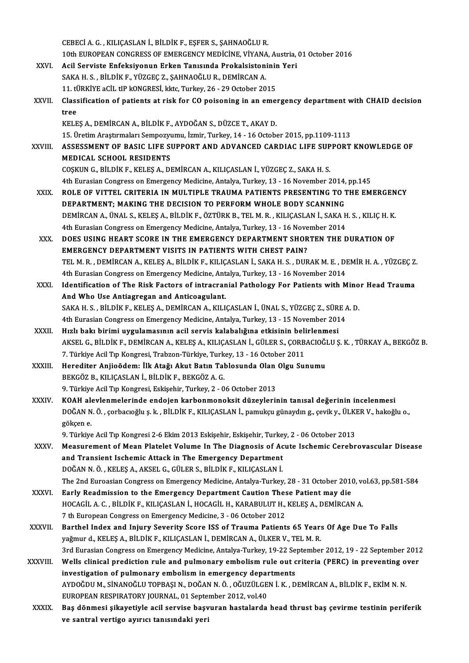|               | CEBECI A. G. , KILIÇASLAN İ., BİLDİK F., EŞFER S., ŞAHNAOĞLU R.                                                                                                   |
|---------------|-------------------------------------------------------------------------------------------------------------------------------------------------------------------|
|               | 10th EUROPEAN CONGRESS OF EMERGENCY MEDICINE, VIYANA, Austria, 01 October 2016                                                                                    |
| XXVI.         | Acil Serviste Enfeksiyonun Erken Tanısında Prokalsistoninin Yeri                                                                                                  |
|               | SAKA H. S., BİLDİK F., YÜZGEÇ Z., ŞAHNAOĞLU R., DEMİRCAN A.                                                                                                       |
|               | 11. tÜRKİYE aCİL tIP kONGRESİ, kktc, Turkey, 26 - 29 October 2015                                                                                                 |
| XXVII.        | Classification of patients at risk for CO poisoning in an emergency department with CHAID decision                                                                |
|               | tree                                                                                                                                                              |
|               | KELEŞ A., DEMİRCAN A., BİLDİK F., AYDOĞAN S., DÜZCE T., AKAY D.                                                                                                   |
|               | 15. Üretim Araştırmaları Sempozyumu, İzmir, Turkey, 14 - 16 October 2015, pp.1109-1113                                                                            |
| XXVIII.       | ASSESSMENT OF BASIC LIFE SUPPORT AND ADVANCED CARDIAC LIFE SUPPORT KNOWLEDGE OF                                                                                   |
|               | <b>MEDICAL SCHOOL RESIDENTS</b>                                                                                                                                   |
|               | COȘKUN G., BİLDİK F., KELEŞ A., DEMİRCAN A., KILIÇASLAN İ., YÜZGEÇ Z., SAKA H. S.                                                                                 |
|               | 4th Eurasian Congress on Emergency Medicine, Antalya, Turkey, 13 - 16 November 2014, pp.145                                                                       |
| XXIX.         | ROLE OF VITTEL CRITERIA IN MULTIPLE TRAUMA PATIENTS PRESENTING TO THE EMERGENCY                                                                                   |
|               | DEPARTMENT; MAKING THE DECISION TO PERFORM WHOLE BODY SCANNING                                                                                                    |
|               | DEMIRCAN A., ÜNAL S., KELEŞ A., BİLDİK F., ÖZTÜRK B., TEL M. R., KILIÇASLAN İ., SAKA H. S., KILIÇ H. K.                                                           |
|               | 4th Eurasian Congress on Emergency Medicine, Antalya, Turkey, 13 - 16 November 2014<br>DOES USING HEART SCORE IN THE EMERGENCY DEPARTMENT SHORTEN THE DURATION OF |
| XXX.          | <b>EMERGENCY DEPARTMENT VISITS IN PATIENTS WITH CHEST PAIN?</b>                                                                                                   |
|               | TEL M. R. , DEMİRCAN A., KELEŞ A., BİLDİK F., KILIÇASLAN İ., SAKA H. S. , DURAK M. E. , DEMİR H. A. , YÜZGEÇ Z.                                                   |
|               | 4th Eurasian Congress on Emergency Medicine, Antalya, Turkey, 13 - 16 November 2014                                                                               |
| XXXI.         | Identification of The Risk Factors of intracranial Pathology For Patients with Minor Head Trauma                                                                  |
|               | And Who Use Antiagregan and Anticoagulant.                                                                                                                        |
|               | SAKA H. S. , BİLDİK F., KELEŞ A., DEMİRCAN A., KILIÇASLAN İ., ÜNAL S., YÜZGEÇ Z., SÜRE A. D.                                                                      |
|               | 4th Eurasian Congress on Emergency Medicine, Antalya, Turkey, 13 - 15 November 2014                                                                               |
| XXXII.        | Hızlı bakı birimi uygulamasının acil servis kalabalığına etkisinin belirlenmesi                                                                                   |
|               | AKSEL G., BİLDİK F., DEMİRCAN A., KELEŞ A., KILIÇASLAN İ., GÜLER S., ÇORBACIOĞLU Ş. K., TÜRKAY A., BEKGÖZ B.                                                      |
|               | 7. Türkiye Acil Tıp Kongresi, Trabzon-Türkiye, Turkey, 13 - 16 October 2011                                                                                       |
| XXXIII.       | Herediter Anjioödem: İlk Atağı Akut Batın Tablosunda Olan Olgu Sunumu                                                                                             |
|               | BEKGÖZ B., KILIÇASLAN İ., BİLDİK F., BEKGÖZ A. G.                                                                                                                 |
|               | 9. Türkiye Acil Tıp Kongresi, Eskişehir, Turkey, 2 - 06 October 2013                                                                                              |
| <b>XXXIV</b>  | KOAH alevlenmelerinde endojen karbonmonoksit düzeylerinin tanısal değerinin incelenmesi                                                                           |
|               | DOĞAN N. Ö., çorbacıoğlu ş. k., BİLDİK F., KILIÇASLAN İ., pamukçu günaydın g., çevik y., ÜLKER V., hakoğlu o.,                                                    |
|               | gökçen e                                                                                                                                                          |
|               | 9. Türkiye Acil Tıp Kongresi 2-6 Ekim 2013 Eskişehir, Eskişehir, Turkey, 2 - 06 October 2013                                                                      |
| XXXV.         | Measurement of Mean Platelet Volume In The Diagnosis of Acute Ischemic Cerebrovascular Disease                                                                    |
|               | and Transient Ischemic Attack in The Emergency Department                                                                                                         |
|               | DOĞAN N. Ö., KELEŞ A., AKSEL G., GÜLER S., BİLDİK F., KILIÇASLAN İ.                                                                                               |
|               | The 2nd Euroasian Congress on Emergency Medicine, Antalya-Turkey, 28 - 31 October 2010, vol.63, pp.581-584                                                        |
| <b>XXXVI</b>  | Early Readmission to the Emergency Department Caution These Patient may die                                                                                       |
|               | HOCAGIL A. C. , BILDIK F., KILIÇASLAN İ., HOCAGIL H., KARABULUT H., KELEŞ A., DEMIRCAN A.                                                                         |
|               | 7 th European Congress on Emergency Medicine, 3 - 06 October 2012                                                                                                 |
| <b>XXXVII</b> | Barthel Index and Injury Severity Score ISS of Trauma Patients 65 Years Of Age Due To Falls                                                                       |
|               | yağmur d., KELEŞ A., BİLDİK F., KILIÇASLAN İ., DEMİRCAN A., ÜLKER V., TEL M. R.                                                                                   |
|               | 3rd Eurasian Congress on Emergency Medicine, Antalya-Turkey, 19-22 September 2012, 19 - 22 September 2012                                                         |
| XXXVIII.      | Wells clinical prediction rule and pulmonary embolism rule out criteria (PERC) in preventing over                                                                 |
|               | investigation of pulmonary embolism in emergency departments                                                                                                      |
|               | AYDOĞDU M., SİNANOĞLU TOPBAŞI N., DOĞAN N. Ö., OĞUZÜLGEN İ. K., DEMİRCAN A., BİLDİK F., EKİM N. N.                                                                |
|               | EUROPEAN RESPIRATORY JOURNAL, 01 September 2012, vol.40                                                                                                           |
| XXXIX.        | Baş dönmesi şikayetiyle acil servise başvuran hastalarda head thrust baş çevirme testinin periferik                                                               |
|               | ve santral vertigo ayırıcı tanısındaki yeri                                                                                                                       |
|               |                                                                                                                                                                   |